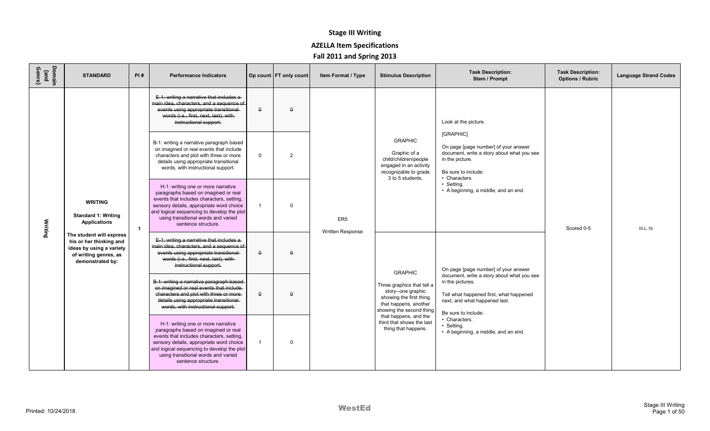| Domain<br>(and<br>Genre) | <b>STANDARD</b>                                                                                                              | PI#            | <b>Performance Indicators</b>                                                                                                                                                                                                                                                   |              | Op count FT only count | Item Format / Type                         | <b>Stimulus Description</b>                                                                                                      | <b>Task Description:</b><br>Stem / Prompt                                                                                                                  | <b>Task Description:</b><br><b>Options / Rubric</b> | <b>Language Strand Codes</b> |
|--------------------------|------------------------------------------------------------------------------------------------------------------------------|----------------|---------------------------------------------------------------------------------------------------------------------------------------------------------------------------------------------------------------------------------------------------------------------------------|--------------|------------------------|--------------------------------------------|----------------------------------------------------------------------------------------------------------------------------------|------------------------------------------------------------------------------------------------------------------------------------------------------------|-----------------------------------------------------|------------------------------|
|                          |                                                                                                                              |                | E-1: writing a narrative that includes a-<br>main idea, characters, and a sequence of<br>events using appropriate transitional<br>words (i.e., first, next, last), with<br>instructional support.                                                                               | $\theta$     | $\theta$               |                                            |                                                                                                                                  | Look at the picture.                                                                                                                                       |                                                     |                              |
|                          |                                                                                                                              |                | B-1: writing a narrative paragraph based<br>on imagined or real events that include<br>characters and plot with three or more<br>details using appropriate transitional<br>words, with instructional support.                                                                   | $\mathbf{0}$ | $\overline{2}$         |                                            | <b>GRAPHIC</b><br>Graphic of a<br>child/children/people<br>engaged in an activity<br>recognizable to grade<br>3 to 5 students.   | [GRAPHIC]<br>On page [page number] of your answer<br>document, write a story about what you see<br>in the picture.<br>Be sure to include:<br>• Characters. |                                                     |                              |
| Writing                  | <b>WRITING</b><br><b>Standard 1: Writing</b><br>Applications                                                                 | $\overline{1}$ | H-1: writing one or more narrative<br>paragraphs based on imagined or real<br>events that includes characters, setting,<br>sensory details, appropriate word choice<br>and logical sequencing to develop the plot<br>using transitional words and varied<br>sentence structure. | $\mathbf{1}$ | $\Omega$               | ER <sub>5</sub><br><b>Written Response</b> |                                                                                                                                  | • Setting.<br>• A beginning, a middle, and an end.                                                                                                         | Scored 0-5                                          | III.L.1b                     |
|                          | The student will express<br>his or her thinking and<br>ideas by using a variety<br>of writing genres, as<br>demonstrated by: |                | E-1: writing a narrative that includes a-<br>main idea, characters, and a sequence of<br>events using appropriate transitional<br>words (i.e., first, next, last), with-<br>instructional support.                                                                              | $\theta$     | $\Omega$               |                                            | <b>GRAPHIC</b>                                                                                                                   | On page [page number] of your answer<br>document, write a story about what you see                                                                         |                                                     |                              |
|                          |                                                                                                                              |                | B-1: writing a narrative paragraph based-<br>on imagined or real events that include<br>characters and plot with three or more-<br>details using appropriate transitional<br>words, with instructional support.                                                                 | $\theta$     | $\theta$               |                                            | Three graphics that tell a<br>story--one graphic<br>showing the first thing<br>that happens, another<br>showing the second thing | in the pictures.<br>Tell what happened first, what happened<br>next, and what happened last.<br>Be sure to include:                                        |                                                     |                              |
|                          |                                                                                                                              |                | H-1: writing one or more narrative<br>paragraphs based on imagined or real<br>events that includes characters, setting,<br>sensory details, appropriate word choice<br>and logical sequencing to develop the plot<br>using transitional words and varied<br>sentence structure. | $\mathbf{1}$ | $\Omega$               |                                            | that happens, and the<br>third that shows the last<br>thing that happens.                                                        | • Characters.<br>• Setting.<br>• A beginning, a middle, and an end.                                                                                        |                                                     |                              |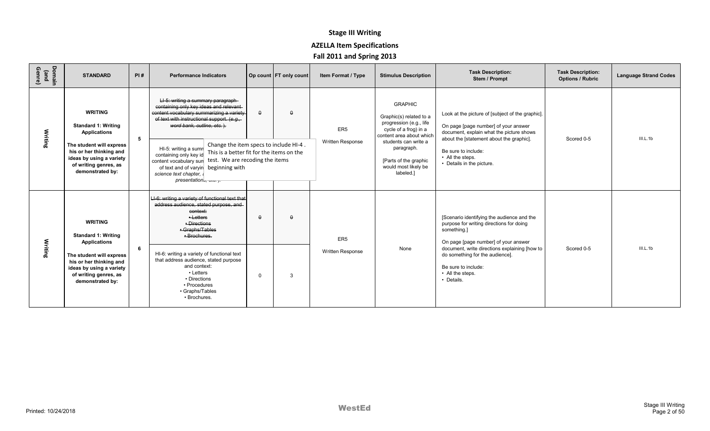| Domain<br>(and<br>Genre) | <b>STANDARD</b>                                                                                                              | PI# | <b>Performance Indicators</b>                                                                                                                                                                                                                                                       |             | Op count FT only count | Item Format / Type                  | <b>Stimulus Description</b>                                                                                                                       | <b>Task Description:</b><br>Stem / Prompt                                                                                                                                        | <b>Task Description:</b><br><b>Options / Rubric</b> | <b>Language Strand Codes</b> |
|--------------------------|------------------------------------------------------------------------------------------------------------------------------|-----|-------------------------------------------------------------------------------------------------------------------------------------------------------------------------------------------------------------------------------------------------------------------------------------|-------------|------------------------|-------------------------------------|---------------------------------------------------------------------------------------------------------------------------------------------------|----------------------------------------------------------------------------------------------------------------------------------------------------------------------------------|-----------------------------------------------------|------------------------------|
| Writing                  | <b>WRITING</b><br><b>Standard 1: Writing</b><br><b>Applications</b>                                                          | 5   | LI-5: writing a summary paragraph-<br>containing only key ideas and relevant-<br>content vocabulary summarizing a variety<br>of text with instructional support. (e.g.,<br>word bank, outline, etc.).                                                                               | $\theta$    | $\Omega$               | ER <sub>5</sub><br>Written Response | <b>GRAPHIC</b><br>Graphic(s) related to a<br>progression (e.g., life<br>cycle of a frog) in a<br>content area about which<br>students can write a | Look at the picture of [subject of the graphic].<br>On page [page number] of your answer<br>document, explain what the picture shows<br>about the [statement about the graphic]. | Scored 0-5                                          | III.L.1b                     |
|                          | The student will express<br>his or her thinking and<br>ideas by using a variety<br>of writing genres, as<br>demonstrated by: |     | Change the item specs to include HI-4.<br>HI-5: writing a sumn<br>This is a better fit for the items on the<br>containing only key id<br>test. We are recoding the items<br>content vocabulary sun<br>of text and of varyin beginning with<br>science text chapter,<br>presentation |             |                        |                                     | paragraph.<br>[Parts of the graphic<br>would most likely be<br>labeled.]                                                                          | Be sure to include:<br>• All the steps.<br>• Details in the picture.                                                                                                             |                                                     |                              |
|                          | <b>WRITING</b><br><b>Standard 1: Writing</b><br><b>Applications</b>                                                          |     | LI-6: writing a variety of functional text that<br>address audience, stated purpose, and-<br>context:<br>$-$ Letters<br>• Directions<br>• Graphs/Tables<br>· Brochures.                                                                                                             | $\theta$    | $\theta$               | ER <sub>5</sub>                     |                                                                                                                                                   | [Scenario identifying the audience and the<br>purpose for writing directions for doing<br>something.]<br>On page [page number] of your answer                                    |                                                     |                              |
| Writing                  | The student will express<br>his or her thinking and<br>ideas by using a variety<br>of writing genres, as<br>demonstrated by: | 6   | HI-6: writing a variety of functional text<br>that address audience, stated purpose<br>and context:<br>• Letters<br>• Directions<br>• Procedures<br>• Graphs/Tables<br>• Brochures.                                                                                                 | $\mathbf 0$ | 3                      | <b>Written Response</b>             | None                                                                                                                                              | document, write directions explaining [how to<br>do something for the audience].<br>Be sure to include:<br>• All the steps.<br>• Details.                                        | Scored 0-5                                          | III.L.1b                     |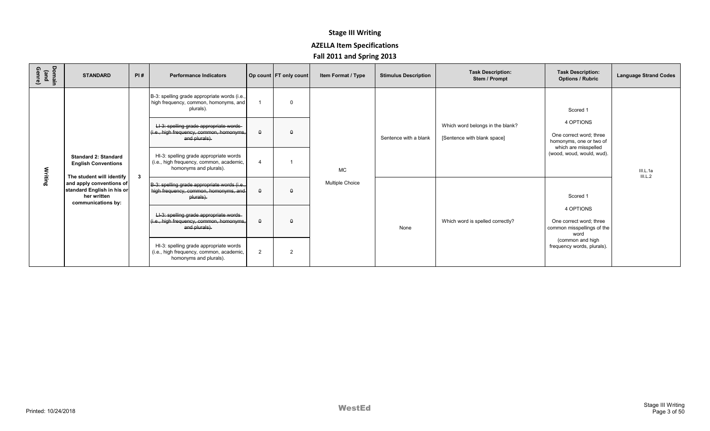| Domain<br>(and<br>Genre) | <b>STANDARD</b>                                                                                                          | PI#                                                                                                                                                                                                                                                                                           | <b>Performance Indicators</b>                                                                                                                                                                                                                                                                                              |                            | Op count FT only count | Item Format / Type | <b>Stimulus Description</b> | <b>Task Description:</b><br>Stem / Prompt                       | <b>Task Description:</b><br><b>Options / Rubric</b>                                                                              | <b>Language Strand Codes</b> |
|--------------------------|--------------------------------------------------------------------------------------------------------------------------|-----------------------------------------------------------------------------------------------------------------------------------------------------------------------------------------------------------------------------------------------------------------------------------------------|----------------------------------------------------------------------------------------------------------------------------------------------------------------------------------------------------------------------------------------------------------------------------------------------------------------------------|----------------------------|------------------------|--------------------|-----------------------------|-----------------------------------------------------------------|----------------------------------------------------------------------------------------------------------------------------------|------------------------------|
|                          | <b>Standard 2: Standard</b><br><b>English Conventions</b>                                                                |                                                                                                                                                                                                                                                                                               | B-3: spelling grade appropriate words (i.e.,<br>high frequency, common, homonyms, and<br>plurals).<br>LI-3: spelling grade appropriate words-<br>(i.e., high frequency, common, homonyms,<br>and plurals).<br>HI-3: spelling grade appropriate words<br>(i.e., high frequency, common, academic,<br>homonyms and plurals). | $\theta$<br>$\overline{4}$ | $\Omega$<br>$\Omega$   | <b>MC</b>          | Sentence with a blank       | Which word belongs in the blank?<br>[Sentence with blank space] | Scored 1<br>4 OPTIONS<br>One correct word: three<br>homonyms, one or two of<br>which are misspelled<br>(wood, woud, would, wud). | III.L.1a<br>III.L.2          |
| Writing                  | The student will identify<br>and apply conventions of<br>standard English in his or<br>her written<br>communications by: | $\mathbf{3}$<br>Multiple Choice<br>B-3: spelling grade appropriate words (i.e.,<br>high frequency, common, homonyms, and<br>$\theta$<br>$\theta$<br>plurals).<br>LI-3: spelling grade appropriate words-<br>(i.e., high frequency, common, homonyms,<br>$\theta$<br>$\Omega$<br>and plurals). |                                                                                                                                                                                                                                                                                                                            |                            | Scored 1               |                    |                             |                                                                 |                                                                                                                                  |                              |
|                          |                                                                                                                          |                                                                                                                                                                                                                                                                                               |                                                                                                                                                                                                                                                                                                                            |                            |                        |                    | None                        | Which word is spelled correctly?                                | 4 OPTIONS<br>One correct word: three<br>common misspellings of the<br>word                                                       |                              |
|                          |                                                                                                                          |                                                                                                                                                                                                                                                                                               | HI-3: spelling grade appropriate words<br>(i.e., high frequency, common, academic,<br>homonyms and plurals).                                                                                                                                                                                                               | $\overline{2}$             | $\overline{2}$         |                    |                             |                                                                 | (common and high<br>frequency words, plurals).                                                                                   |                              |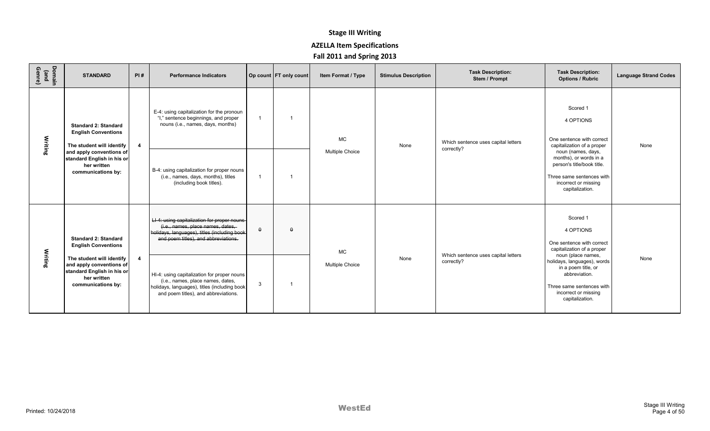| Domain<br>(and<br>Genre) | <b>STANDARD</b>                                                                                                          | PI#                     | <b>Performance Indicators</b>                                                                                                                                            |                | Op count FT only count | Item Format / Type     | <b>Stimulus Description</b> | <b>Task Description:</b><br>Stem / Prompt         | <b>Task Description:</b><br><b>Options / Rubric</b>                                                                                                | <b>Language Strand Codes</b> |
|--------------------------|--------------------------------------------------------------------------------------------------------------------------|-------------------------|--------------------------------------------------------------------------------------------------------------------------------------------------------------------------|----------------|------------------------|------------------------|-----------------------------|---------------------------------------------------|----------------------------------------------------------------------------------------------------------------------------------------------------|------------------------------|
| Writing                  | <b>Standard 2: Standard</b><br><b>English Conventions</b><br>The student will identify                                   | $\overline{\mathbf{4}}$ | E-4: using capitalization for the pronoun<br>"I," sentence beginnings, and proper<br>nouns (i.e., names, days, months)                                                   | $\overline{1}$ |                        | <b>MC</b>              | None                        | Which sentence uses capital letters<br>correctly? | Scored 1<br>4 OPTIONS<br>One sentence with correct<br>capitalization of a proper                                                                   | None                         |
|                          | and apply conventions of<br>standard English in his or<br>her written<br>communications by:                              |                         | B-4: using capitalization for proper nouns<br>(i.e., names, days, months), titles<br>(including book titles).                                                            | $\overline{1}$ |                        | <b>Multiple Choice</b> |                             |                                                   | noun (names, days,<br>months), or words in a<br>person's title/book title.<br>Three same sentences with<br>incorrect or missing<br>capitalization. |                              |
|                          | <b>Standard 2: Standard</b><br><b>English Conventions</b>                                                                |                         | LI-4: using capitalization for proper nouns<br>(i.e., names, place names, dates,<br>holidays, languages), titles (including book<br>and poem titles), and abbreviations. | $\theta$       | $\theta$               | <b>MC</b>              |                             | Which sentence uses capital letters               | Scored 1<br>4 OPTIONS<br>One sentence with correct<br>capitalization of a proper<br>noun (place names,                                             |                              |
| Writing                  | The student will identify<br>and apply conventions of<br>standard English in his or<br>her written<br>communications by: | $\overline{4}$          | HI-4: using capitalization for proper nouns<br>(i.e., names, place names, dates,<br>holidays, languages), titles (including book<br>and poem titles), and abbreviations. | 3              |                        | <b>Multiple Choice</b> | None                        | correctly?                                        | holidays, languages), words<br>in a poem title, or<br>abbreviation.<br>Three same sentences with<br>incorrect or missing<br>capitalization.        | None                         |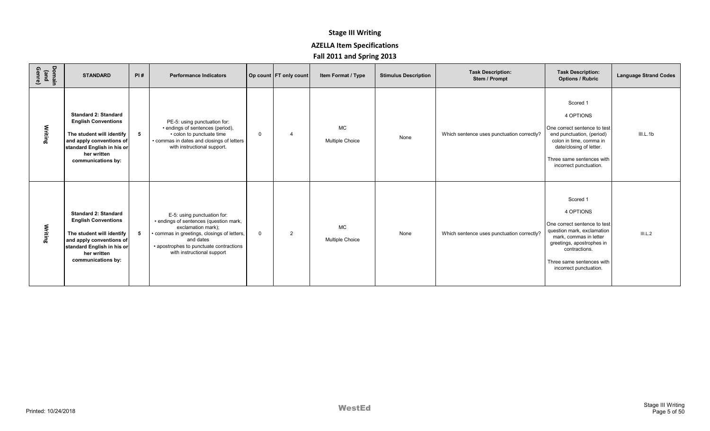| Domain<br>(and<br>Genre) | <b>STANDARD</b>                                                                                                                                                                       | PI# | <b>Performance Indicators</b>                                                                                                                                                                                                  |             | Op count   FT only count | Item Format / Type                  | <b>Stimulus Description</b> | <b>Task Description:</b><br>Stem / Prompt  | <b>Task Description:</b><br><b>Options / Rubric</b>                                                                                                                                                                | <b>Language Strand Codes</b> |
|--------------------------|---------------------------------------------------------------------------------------------------------------------------------------------------------------------------------------|-----|--------------------------------------------------------------------------------------------------------------------------------------------------------------------------------------------------------------------------------|-------------|--------------------------|-------------------------------------|-----------------------------|--------------------------------------------|--------------------------------------------------------------------------------------------------------------------------------------------------------------------------------------------------------------------|------------------------------|
| Writing                  | <b>Standard 2: Standard</b><br><b>English Conventions</b><br>The student will identify<br>and apply conventions of<br>standard English in his or<br>her written<br>communications by: | 5   | PE-5: using punctuation for:<br>• endings of sentences (period),<br>• colon to punctuate time<br>• commas in dates and closings of letters<br>with instructional support.                                                      | $\mathbf 0$ | 4                        | <b>MC</b><br><b>Multiple Choice</b> | None                        | Which sentence uses punctuation correctly? | Scored 1<br>4 OPTIONS<br>One correct sentence to test<br>end punctuation, (period)<br>colon in time, comma in<br>date/closing of letter.<br>Three same sentences with<br>incorrect punctuation.                    | III.L.1b                     |
| Writing                  | <b>Standard 2: Standard</b><br><b>English Conventions</b><br>The student will identify<br>and apply conventions of<br>standard English in his or<br>her written<br>communications by: | -5  | E-5: using punctuation for:<br>• endings of sentences (question mark,<br>exclamation mark);<br>commas in greetings, closings of letters,<br>and dates<br>• apostrophes to punctuate contractions<br>with instructional support | $\Omega$    | 2                        | <b>MC</b><br><b>Multiple Choice</b> | None                        | Which sentence uses punctuation correctly? | Scored 1<br>4 OPTIONS<br>One correct sentence to test<br>question mark, exclamation<br>mark, commas in letter<br>greetings, apostrophes in<br>contractions.<br>Three same sentences with<br>incorrect punctuation. | III.L.2                      |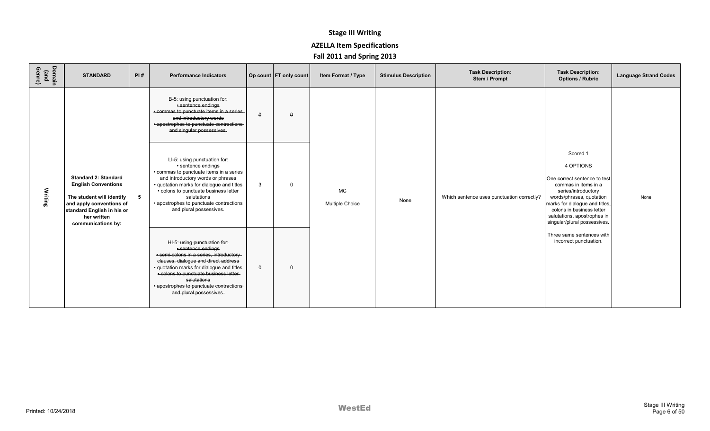| Domain<br>(and<br>Genre) | <b>STANDARD</b>                                                                                                                                                                       | PI# | <b>Performance Indicators</b>                                                                                                                                                                                                                                                                                       |          | Op count FT only count | Item Format / Type                  | <b>Stimulus Description</b> | <b>Task Description:</b><br>Stem / Prompt  | <b>Task Description:</b><br><b>Options / Rubric</b>                                                                                                                                                                                                            | <b>Language Strand Codes</b> |
|--------------------------|---------------------------------------------------------------------------------------------------------------------------------------------------------------------------------------|-----|---------------------------------------------------------------------------------------------------------------------------------------------------------------------------------------------------------------------------------------------------------------------------------------------------------------------|----------|------------------------|-------------------------------------|-----------------------------|--------------------------------------------|----------------------------------------------------------------------------------------------------------------------------------------------------------------------------------------------------------------------------------------------------------------|------------------------------|
|                          |                                                                                                                                                                                       |     | B-5: using punctuation for:<br>· sentence endings<br>- commas to punctuate items in a series-<br>and introductory words<br>· apostrophes to punctuate contractions-<br>and singular possessives.                                                                                                                    | $\theta$ | $\theta$               |                                     |                             |                                            |                                                                                                                                                                                                                                                                |                              |
| Writing                  | <b>Standard 2: Standard</b><br><b>English Conventions</b><br>The student will identify<br>and apply conventions of<br>standard English in his or<br>her written<br>communications by: | 5   | LI-5: using punctuation for:<br>• sentence endings<br>• commas to punctuate items in a series<br>and introductory words or phrases<br>· quotation marks for dialogue and titles<br>• colons to punctuate business letter<br>salutations<br>• apostrophes to punctuate contractions<br>and plural possessives.       | 3        | $\Omega$               | <b>MC</b><br><b>Multiple Choice</b> | None                        | Which sentence uses punctuation correctly? | Scored 1<br>4 OPTIONS<br>One correct sentence to test<br>commas in items in a<br>series/introductory<br>words/phrases, quotation<br>marks for dialogue and titles,<br>colons in business letter<br>salutations, apostrophes in<br>singular/plural possessives. | None                         |
|                          |                                                                                                                                                                                       |     | HI-5: using punctuation for:<br>· sentence endings<br>· semi-colons in a series, introductory-<br>clauses, dialogue and direct address<br>· quotation marks for dialogue and titles<br>· colons to punctuate business letter-<br>salutations<br>- apostrophes to punctuate contractions-<br>and plural possessives. | $\theta$ | $\theta$               |                                     |                             |                                            | Three same sentences with<br>incorrect punctuation.                                                                                                                                                                                                            |                              |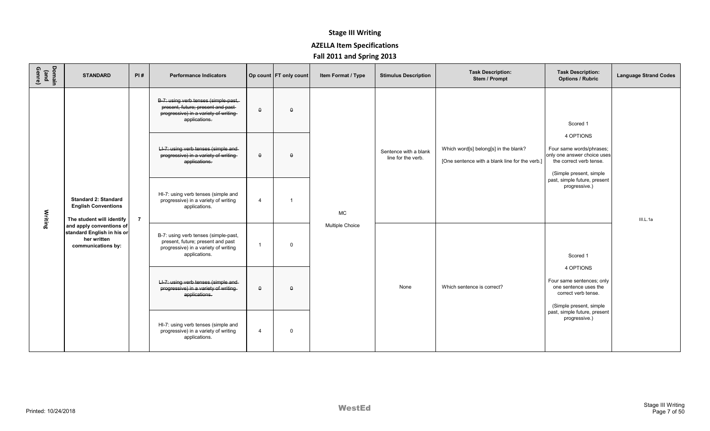| Domain<br>(and<br>Genre) | <b>STANDARD</b>                                                                             | PI#            | <b>Performance Indicators</b>                                                                                                         |                | Op count   FT only count   | Item Format / Type                                                                                   | <b>Stimulus Description</b>                 | <b>Task Description:</b><br>Stem / Prompt                                               | <b>Task Description:</b><br><b>Options / Rubric</b>                                                                        | <b>Language Strand Codes</b> |
|--------------------------|---------------------------------------------------------------------------------------------|----------------|---------------------------------------------------------------------------------------------------------------------------------------|----------------|----------------------------|------------------------------------------------------------------------------------------------------|---------------------------------------------|-----------------------------------------------------------------------------------------|----------------------------------------------------------------------------------------------------------------------------|------------------------------|
|                          |                                                                                             |                | B-7: using verb tenses (simple-past,-<br>present, future; present and past-<br>progressive) in a variety of writing-<br>applications. | $\theta$       | $\theta$                   |                                                                                                      |                                             |                                                                                         | Scored 1                                                                                                                   |                              |
|                          |                                                                                             |                | LI-7: using verb tenses (simple and-<br>progressive) in a variety of writing-<br>applications.                                        | $\theta$       | $\theta$                   |                                                                                                      | Sentence with a blank<br>line for the verb. | Which word[s] belong[s] in the blank?<br>[One sentence with a blank line for the verb.] | 4 OPTIONS<br>Four same words/phrases;<br>only one answer choice uses<br>the correct verb tense.<br>(Simple present, simple |                              |
| Writing                  | <b>Standard 2: Standard</b><br><b>English Conventions</b><br>The student will identify      | $\overline{7}$ | HI-7: using verb tenses (simple and<br>progressive) in a variety of writing<br>applications.                                          | $\overline{4}$ | 1                          | <b>MC</b>                                                                                            |                                             |                                                                                         | past, simple future, present<br>progressive.)                                                                              | III.L.1a                     |
|                          | and apply conventions of<br>standard English in his or<br>her written<br>communications by: |                | B-7: using verb tenses (simple-past,<br>present, future; present and past<br>progressive) in a variety of writing<br>applications.    | $\overline{1}$ | 0                          | <b>Multiple Choice</b>                                                                               |                                             |                                                                                         | Scored 1<br>4 OPTIONS                                                                                                      |                              |
|                          |                                                                                             |                | LI-7: using verb tenses (simple and-<br>progressive) in a variety of writing-<br>$\theta$<br>$\theta$<br>applications.                | None           | Which sentence is correct? | Four same sentences; only<br>one sentence uses the<br>correct verb tense.<br>(Simple present, simple |                                             |                                                                                         |                                                                                                                            |                              |
|                          |                                                                                             |                | HI-7: using verb tenses (simple and<br>progressive) in a variety of writing<br>applications.                                          | $\overline{4}$ | $\mathbf 0$                |                                                                                                      |                                             |                                                                                         | past, simple future, present<br>progressive.)                                                                              |                              |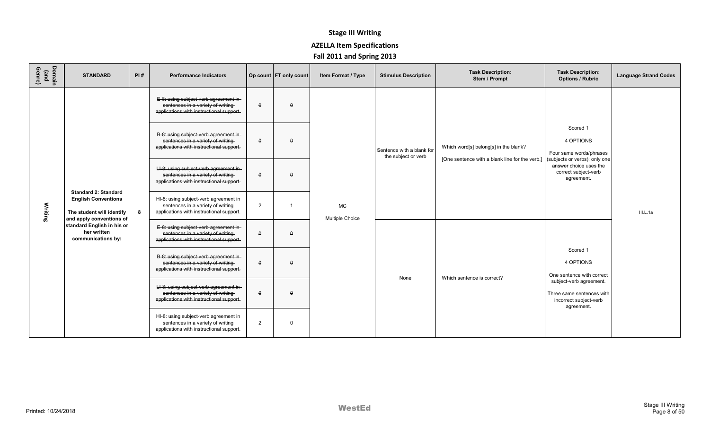| Domain<br>(and<br>Genre) | <b>STANDARD</b>                                                                                                                                                                       | PI# | <b>Performance Indicators</b>                                                                                           |                | Op count FT only count | Item Format / Type                  | <b>Stimulus Description</b>                      | <b>Task Description:</b><br>Stem / Prompt                                               | <b>Task Description:</b><br><b>Options / Rubric</b>                                          | <b>Language Strand Codes</b> |
|--------------------------|---------------------------------------------------------------------------------------------------------------------------------------------------------------------------------------|-----|-------------------------------------------------------------------------------------------------------------------------|----------------|------------------------|-------------------------------------|--------------------------------------------------|-----------------------------------------------------------------------------------------|----------------------------------------------------------------------------------------------|------------------------------|
|                          |                                                                                                                                                                                       |     | E-8: using subject-verb agreement in-<br>sentences in a variety of writing<br>applications with instructional support.  | $\theta$       | $\theta$               |                                     |                                                  |                                                                                         |                                                                                              |                              |
|                          |                                                                                                                                                                                       |     | B-8: using subject-verb agreement in-<br>sentences in a variety of writing<br>applications with instructional support.  | $\theta$       | $\theta$               |                                     | Sentence with a blank for<br>the subject or verb | Which word[s] belong[s] in the blank?<br>[One sentence with a blank line for the verb.] | Scored 1<br>4 OPTIONS<br>Four same words/phrases<br>(subjects or verbs); only one            |                              |
|                          |                                                                                                                                                                                       |     | LI-8: using subject-verb agreement in-<br>sentences in a variety of writing<br>applications with instructional support. | $\theta$       | $\Omega$               |                                     |                                                  |                                                                                         | answer choice uses the<br>correct subject-verb<br>agreement.                                 |                              |
| Writing                  | <b>Standard 2: Standard</b><br><b>English Conventions</b><br>The student will identify<br>and apply conventions of<br>standard English in his or<br>her written<br>communications by: | 8   | HI-8: using subject-verb agreement in<br>sentences in a variety of writing<br>applications with instructional support.  | $\overline{2}$ |                        | <b>MC</b><br><b>Multiple Choice</b> |                                                  |                                                                                         |                                                                                              | III.L.1a                     |
|                          |                                                                                                                                                                                       |     | E-8: using subject-verb agreement in-<br>sentences in a variety of writing<br>applications with instructional support.  | $\theta$       | $\theta$               |                                     |                                                  |                                                                                         |                                                                                              |                              |
|                          |                                                                                                                                                                                       |     | B-8: using subject-verb agreement in-<br>sentences in a variety of writing<br>applications with instructional support.  | $\theta$       | $\Omega$               |                                     |                                                  | Which sentence is correct?                                                              | Scored 1<br>4 OPTIONS<br>One sentence with correct                                           |                              |
|                          |                                                                                                                                                                                       |     | LI-8: using subject-verb agreement in-<br>sentences in a variety of writing<br>applications with instructional support. | $\theta$       | $\Omega$               |                                     | None                                             |                                                                                         | subject-verb agreement.<br>Three same sentences with<br>incorrect subject-verb<br>agreement. |                              |
|                          |                                                                                                                                                                                       |     | HI-8: using subject-verb agreement in<br>sentences in a variety of writing<br>applications with instructional support.  | $\overline{2}$ | $\Omega$               |                                     |                                                  |                                                                                         |                                                                                              |                              |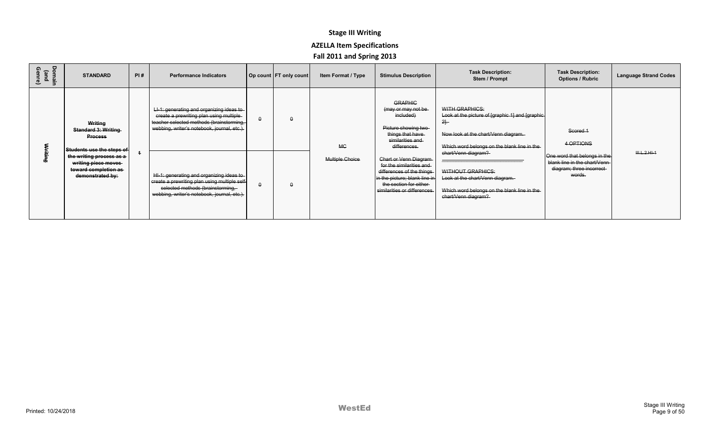| Domain<br>(and<br>Genre) | <b>STANDARD</b>                                                                                                                                                                     | PI# | <b>Performance Indicators</b>                                                                                                                                                                                                                                                                                                                                  | Op count   FT only count | Item Format / Type                  | <b>Stimulus Description</b>                                                                                                                                                                                                                                                                                    | <b>Task Description:</b><br>Stem / Prompt                                                                                                                                                                                                                                                                                                 | <b>Task Description:</b><br><b>Options / Rubric</b>                                                                           | <b>Language Strand Codes</b> |
|--------------------------|-------------------------------------------------------------------------------------------------------------------------------------------------------------------------------------|-----|----------------------------------------------------------------------------------------------------------------------------------------------------------------------------------------------------------------------------------------------------------------------------------------------------------------------------------------------------------------|--------------------------|-------------------------------------|----------------------------------------------------------------------------------------------------------------------------------------------------------------------------------------------------------------------------------------------------------------------------------------------------------------|-------------------------------------------------------------------------------------------------------------------------------------------------------------------------------------------------------------------------------------------------------------------------------------------------------------------------------------------|-------------------------------------------------------------------------------------------------------------------------------|------------------------------|
|                          | Writing<br><b>Standard 3: Writing</b><br><b>Process</b><br>Students use the steps of<br>the writing process as a<br>writing piece moves<br>toward completion as<br>demonstrated by: |     | LI-1: generating and organizing ideas to<br>create a prewriting plan using multiple<br>teacher selected methods (brainstorming,<br>webbing, writer's notebook, journal, etc.).<br>HI-1: generating and organizing ideas to<br>create a prewriting plan using multiple self-<br>selected methods (brainstorming,<br>webbing, writer's notebook, journal, etc.). | $\theta$<br>$\theta$     | <b>MC</b><br><b>Multiple Choice</b> | <b>GRAPHIC</b><br>(may or may not be<br>included)<br>Picture showing two-<br>things that have<br>similarities and<br>differences.<br>Chart or Venn Diagram<br>for the similarities and<br>differences of the things<br>in the picture; blank line in<br>the section for either<br>similarities or differences. | WITH GRAPHICS:<br>Look at the picture of [graphic 1] and [graphic]<br>$2 -$<br>Now look at the chart/Venn diagram.<br>Which word belongs on the blank line in the-<br><del>chart/Venn diagram?</del><br><b>WITHOUT GRAPHICS:</b><br>Look at the chart/Venn diagram.<br>Which word belongs on the blank line in the<br>chart/Venn diagram? | Scored 1<br>4 OPTIONS<br>One word that belongs in the<br>blank line in the chart/Venn-<br>diagram; three incorrect-<br>words. | $H.H.2.HI-4$                 |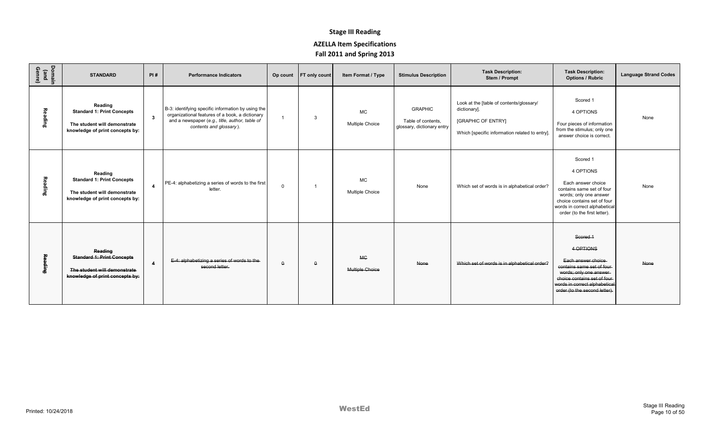| Domain<br>(and<br>Genre) | <b>STANDARD</b>                                                                                                 | PI#            | <b>Performance Indicators</b>                                                                                                                                                      |             | Op count FT only count | Item Format / Type                  | <b>Stimulus Description</b>                                        | <b>Task Description:</b><br>Stem / Prompt                                                                                               | <b>Task Description:</b><br><b>Options / Rubric</b>                                                                                                                                                   | <b>Language Strand Codes</b> |
|--------------------------|-----------------------------------------------------------------------------------------------------------------|----------------|------------------------------------------------------------------------------------------------------------------------------------------------------------------------------------|-------------|------------------------|-------------------------------------|--------------------------------------------------------------------|-----------------------------------------------------------------------------------------------------------------------------------------|-------------------------------------------------------------------------------------------------------------------------------------------------------------------------------------------------------|------------------------------|
| Reading                  | Reading<br><b>Standard 1: Print Concepts</b><br>The student will demonstrate<br>knowledge of print concepts by: | $\mathbf{3}$   | B-3: identifying specific information by using the<br>organizational features of a book, a dictionary<br>and a newspaper (e.g., title, author, table of<br>contents and glossary). |             |                        | <b>MC</b><br><b>Multiple Choice</b> | <b>GRAPHIC</b><br>Table of contents,<br>glossary, dictionary entry | Look at the [table of contents/glossary/<br>dictionary].<br><b>[GRAPHIC OF ENTRY]</b><br>Which [specific information related to entry]. | Scored 1<br>4 OPTIONS<br>Four pieces of information<br>from the stimulus; only one<br>answer choice is correct.                                                                                       | None                         |
| Reading                  | Reading<br><b>Standard 1: Print Concepts</b><br>The student will demonstrate<br>knowledge of print concepts by: | $\overline{4}$ | PE-4: alphabetizing a series of words to the first<br>letter.                                                                                                                      | $\mathbf 0$ |                        | <b>MC</b><br><b>Multiple Choice</b> | None                                                               | Which set of words is in alphabetical order?                                                                                            | Scored 1<br>4 OPTIONS<br>Each answer choice<br>contains same set of four<br>words; only one answer<br>choice contains set of four<br>words in correct alphabetical<br>order (to the first letter).    | None                         |
| Reading                  | Reading<br><b>Standard 1: Print Concepts</b><br>The student will demonstrate<br>knowledge of print concepts by: | $\overline{4}$ | E-4: alphabetizing a series of words to the-<br>second letter.                                                                                                                     | $\Omega$    |                        | <b>MC</b><br>Multiple Choice        | None                                                               | Which set of words is in alphabetical order?                                                                                            | Scored 1<br>4 OPTIONS<br>Each answer choice<br>contains same set of four<br>words; only one answer-<br>choice contains set of four-<br>words in correct alphabetical<br>order (to the second letter). | None                         |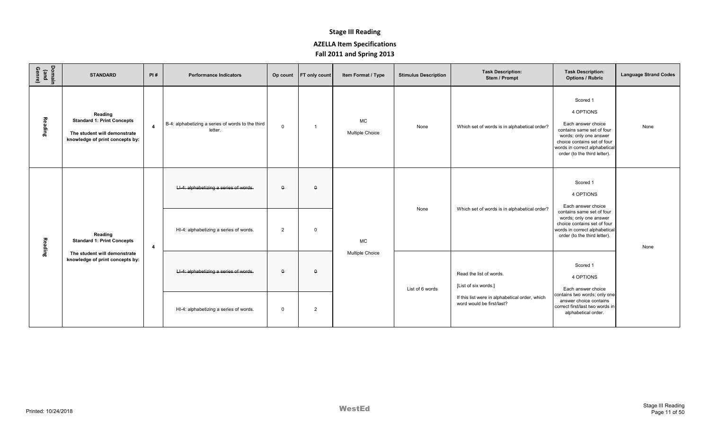| Domain<br>(and<br>Genre) | <b>STANDARD</b>                                                                                                 | PI#            | <b>Performance Indicators</b>                                |              | Op count FT only count | Item Format / Type           | <b>Stimulus Description</b>                  | <b>Task Description:</b><br>Stem / Prompt                                                                                                           | <b>Task Description:</b><br><b>Options / Rubric</b>                                                                                                                                                | <b>Language Strand Codes</b> |
|--------------------------|-----------------------------------------------------------------------------------------------------------------|----------------|--------------------------------------------------------------|--------------|------------------------|------------------------------|----------------------------------------------|-----------------------------------------------------------------------------------------------------------------------------------------------------|----------------------------------------------------------------------------------------------------------------------------------------------------------------------------------------------------|------------------------------|
| Reading                  | Reading<br><b>Standard 1: Print Concepts</b><br>The student will demonstrate<br>knowledge of print concepts by: | $\overline{4}$ | B-4: alphabetizing a series of words to the third<br>letter. | $\mathbf 0$  | -1                     | <b>MC</b><br>Multiple Choice | None                                         | Which set of words is in alphabetical order?                                                                                                        | Scored 1<br>4 OPTIONS<br>Each answer choice<br>contains same set of four<br>words; only one answer<br>choice contains set of four<br>words in correct alphabetical<br>order (to the third letter). | None                         |
|                          |                                                                                                                 |                | LI-4: alphabetizing a series of words.                       | $\theta$     | $\Omega$               |                              |                                              |                                                                                                                                                     | Scored 1<br>4 OPTIONS<br>Each answer choice                                                                                                                                                        |                              |
| Reading                  | Reading<br><b>Standard 1: Print Concepts</b>                                                                    | $\overline{4}$ | HI-4: alphabetizing a series of words.<br>$\overline{2}$     | $\Omega$     | <b>MC</b>              | None                         | Which set of words is in alphabetical order? | contains same set of four<br>words; only one answer<br>choice contains set of four<br>words in correct alphabetical<br>order (to the third letter). | None                                                                                                                                                                                               |                              |
|                          | The student will demonstrate<br>knowledge of print concepts by:                                                 |                | LI-4: alphabetizing a series of words.                       | $\theta$     | $\theta$               | <b>Multiple Choice</b>       | List of 6 words                              | Read the list of words.<br>[List of six words.]                                                                                                     | Scored 1<br>4 OPTIONS<br>Each answer choice                                                                                                                                                        |                              |
|                          |                                                                                                                 |                | HI-4: alphabetizing a series of words.                       | $\mathbf{0}$ | 2                      |                              |                                              | If this list were in alphabetical order, which<br>word would be first/last?                                                                         | contains two words; only one<br>answer choice contains<br>correct first/last two words in<br>alphabetical order.                                                                                   |                              |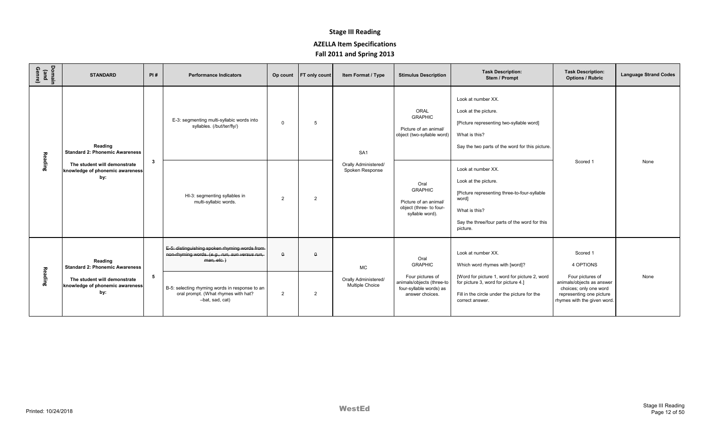| Domain<br>(and<br>Genre) | <b>STANDARD</b>                                                        | PI#            | <b>Performance Indicators</b>                                                                                     |                | Op count FT only count | Item Format / Type                      | <b>Stimulus Description</b>                                                                   | <b>Task Description:</b><br>Stem / Prompt                                                                                                                                         | <b>Task Description:</b><br><b>Options / Rubric</b>                                                                                | <b>Language Strand Codes</b> |
|--------------------------|------------------------------------------------------------------------|----------------|-------------------------------------------------------------------------------------------------------------------|----------------|------------------------|-----------------------------------------|-----------------------------------------------------------------------------------------------|-----------------------------------------------------------------------------------------------------------------------------------------------------------------------------------|------------------------------------------------------------------------------------------------------------------------------------|------------------------------|
|                          | Reading<br><b>Standard 2: Phonemic Awareness</b>                       | 3              | E-3: segmenting multi-syllabic words into<br>syllables. (/but/ter/fly/)                                           | $\mathbf 0$    | 5                      | SA <sub>1</sub>                         | ORAL<br><b>GRAPHIC</b><br>Picture of an animal/<br>object (two-syllable word)                 | Look at number XX.<br>Look at the picture.<br>[Picture representing two-syllable word]<br>What is this?<br>Say the two parts of the word for this picture.                        | Scored 1                                                                                                                           | None                         |
| Reading                  | The student will demonstrate<br>knowledge of phonemic awareness<br>by: |                | HI-3: segmenting syllables in<br>multi-syllabic words.                                                            | 2              | $\overline{2}$         | Orally Administered/<br>Spoken Response | Oral<br><b>GRAPHIC</b><br>Picture of an animal/<br>object (three- to four-<br>syllable word). | Look at number XX.<br>Look at the picture.<br>[Picture representing three-to-four-syllable<br>word]<br>What is this?<br>Say the three/four parts of the word for this<br>picture. |                                                                                                                                    |                              |
|                          | Reading<br><b>Standard 2: Phonemic Awareness</b>                       |                | E-5: distinguishing spoken rhyming words from-<br>non-rhyming words. (e.g., run, sun versus run,<br>$man, etc.$ ) | $\Omega$       | $\Omega$               | MC                                      | Oral<br><b>GRAPHIC</b>                                                                        | Look at number XX.<br>Which word rhymes with [word]?                                                                                                                              | Scored 1<br>4 OPTIONS                                                                                                              |                              |
| Reading                  | The student will demonstrate<br>knowledge of phonemic awareness<br>by: | 5 <sub>5</sub> | B-5: selecting rhyming words in response to an<br>oral prompt. (What rhymes with hat?<br>-bat, sad, cat)          | $\overline{2}$ | 2                      | Orally Administered/<br>Multiple Choice | Four pictures of<br>animals/objects (three-to<br>four-syllable words) as<br>answer choices.   | [Word for picture 1, word for picture 2, word<br>for picture 3, word for picture 4.]<br>Fill in the circle under the picture for the<br>correct answer.                           | Four pictures of<br>animals/objects as answer<br>choices; only one word<br>representing one picture<br>rhymes with the given word. | None                         |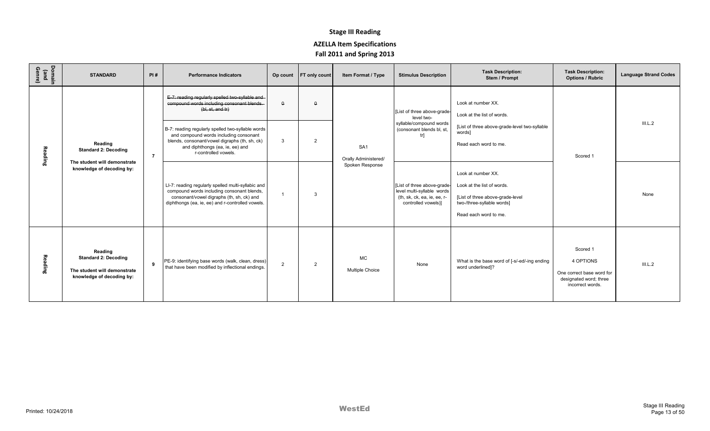| Domain<br>(and<br>Genre) | <b>STANDARD</b>                                                                                     | PI#            | <b>Performance Indicators</b>                                                                                                                                                                           |             | Op count FT only count | Item Format / Type                      | <b>Stimulus Description</b>                                                                                    | <b>Task Description:</b><br>Stem / Prompt                                                                                                   | <b>Task Description:</b><br><b>Options / Rubric</b>                                              | <b>Language Strand Codes</b> |
|--------------------------|-----------------------------------------------------------------------------------------------------|----------------|---------------------------------------------------------------------------------------------------------------------------------------------------------------------------------------------------------|-------------|------------------------|-----------------------------------------|----------------------------------------------------------------------------------------------------------------|---------------------------------------------------------------------------------------------------------------------------------------------|--------------------------------------------------------------------------------------------------|------------------------------|
|                          |                                                                                                     |                | E-7: reading regularly spelled two-syllable and<br>compound words including consonant blends.<br>(bl, st, and tr)                                                                                       | $\theta$    | $\theta$               |                                         | [List of three above-grade<br>level two-                                                                       | Look at number XX.<br>Look at the list of words.                                                                                            |                                                                                                  |                              |
| Rea<br>aing              | Reading<br><b>Standard 2: Decoding</b>                                                              | $\overline{7}$ | B-7: reading regularly spelled two-syllable words<br>and compound words including consonant<br>blends, consonant/vowel digraphs (th, sh, ck)<br>and diphthongs (ea, ie, ee) and<br>r-controlled vowels. | 3           | 2                      | SA <sub>1</sub><br>Orally Administered/ | syllable/compound words<br>(consonant blends bl, st.<br>trl                                                    | [List of three above-grade-level two-syllable<br>words]<br>Read each word to me.                                                            | Scored 1                                                                                         | III.L.2                      |
|                          | The student will demonstrate<br>knowledge of decoding by:                                           |                | LI-7: reading regularly spelled multi-syllabic and<br>compound words including consonant blends,<br>consonant/vowel digraphs (th, sh, ck) and<br>diphthongs (ea, ie, ee) and r-controlled vowels.       |             | 3                      | Spoken Response                         | [List of three above-grade<br>level multi-syllable words<br>(th, sk, ck, ea, ie, ee, r-<br>controlled vowels)] | Look at number XX.<br>Look at the list of words.<br>[List of three above-grade-level<br>two-/three-syllable words]<br>Read each word to me. |                                                                                                  | None                         |
| Reading                  | Reading<br><b>Standard 2: Decoding</b><br>The student will demonstrate<br>knowledge of decoding by: | 9              | PE-9: identifying base words (walk, clean, dress)<br>that have been modified by inflectional endings.                                                                                                   | $2^{\circ}$ | $\overline{2}$         | <b>MC</b><br><b>Multiple Choice</b>     | None                                                                                                           | What is the base word of [-s/-ed/-ing ending<br>word underlined]?                                                                           | Scored 1<br>4 OPTIONS<br>One correct base word for<br>designated word; three<br>incorrect words. | III.L.2                      |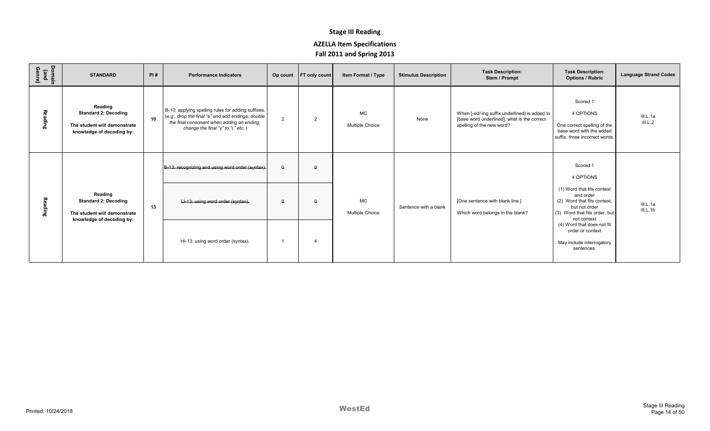| Domain<br>(and<br>Genre) | <b>STANDARD</b>                                                                                     | PI#             | <b>Performance Indicators</b>                                                                                                                                                               |                | Op count FT only count | Item Format / Type                  | <b>Stimulus Description</b> | <b>Task Description:</b><br>Stem / Prompt                                                                                 | <b>Task Description:</b><br><b>Options / Rubric</b>                                                                                     | <b>Language Strand Codes</b> |
|--------------------------|-----------------------------------------------------------------------------------------------------|-----------------|---------------------------------------------------------------------------------------------------------------------------------------------------------------------------------------------|----------------|------------------------|-------------------------------------|-----------------------------|---------------------------------------------------------------------------------------------------------------------------|-----------------------------------------------------------------------------------------------------------------------------------------|------------------------------|
| Reading                  | Reading<br><b>Standard 2: Decoding</b><br>The student will demonstrate<br>knowledge of decoding by: | 10 <sup>1</sup> | B-10: applying spelling rules for adding suffixes.<br>(e.g., drop the final "e" and add endings; double<br>the final consonant when adding an ending;<br>change the final "y" to "i," etc.) | $\overline{2}$ | 2                      | <b>MC</b><br><b>Multiple Choice</b> | None                        | When [-ed/-ing suffix underlined] is added to<br>[base word underlined], what is the correct<br>spelling of the new word? | Scored 1<br>4 OPTIONS<br>One correct spelling of the<br>base word with the added<br>suffix; three incorrect words.                      | III.L.1a<br>III.L.2          |
|                          |                                                                                                     |                 | B-13: recognizing and using word order (syntax).                                                                                                                                            | $\Omega$       | $\Omega$               |                                     |                             |                                                                                                                           | Scored 1<br>4 OPTIONS                                                                                                                   |                              |
| Reading                  | Reading<br><b>Standard 2: Decoding</b><br>The student will demonstrate<br>knowledge of decoding by: | 13              | LI-13: using word order (syntax).                                                                                                                                                           | $\theta$       |                        | <b>MC</b><br><b>Multiple Choice</b> | Sentence with a blank       | [One sentence with blank line.]<br>Which word belongs in the blank?                                                       | (1) Word that fits context<br>and order<br>(2) Word that fits context,<br>but not order<br>(3) Word that fits order, but<br>not context | III.L.1a<br>III.L.1b         |
|                          |                                                                                                     |                 | HI-13: using word order (syntax).                                                                                                                                                           |                |                        |                                     |                             |                                                                                                                           | (4) Word that does not fit<br>order or context<br>May include interrogatory<br>sentences.                                               |                              |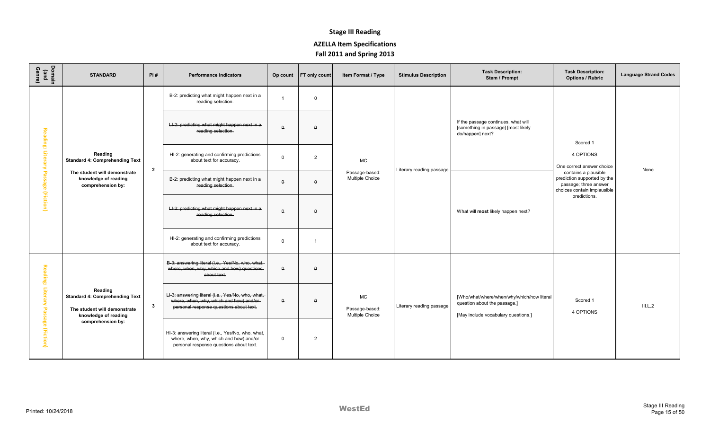| Domain<br>(and<br>Genre) | <b>STANDARD</b>                                                                                          | PI#            | <b>Performance Indicators</b>                                                                                                            | Op count           | <b>FT</b> only count | Item Format / Type                             | <b>Stimulus Description</b> | <b>Task Description:</b><br>Stem / Prompt                                                                         | <b>Task Description:</b><br><b>Options / Rubric</b>                                                         | <b>Language Strand Codes</b> |
|--------------------------|----------------------------------------------------------------------------------------------------------|----------------|------------------------------------------------------------------------------------------------------------------------------------------|--------------------|----------------------|------------------------------------------------|-----------------------------|-------------------------------------------------------------------------------------------------------------------|-------------------------------------------------------------------------------------------------------------|------------------------------|
|                          |                                                                                                          |                | B-2: predicting what might happen next in a<br>reading selection.                                                                        |                    | $\Omega$             |                                                |                             |                                                                                                                   |                                                                                                             |                              |
|                          |                                                                                                          |                | LI-2: predicting what might happen next in a<br>reading selection.                                                                       | $\theta$           | $\Omega$             |                                                |                             | If the passage continues, what will<br>[something in passage] [most likely<br>do/happen] next?                    | Scored 1                                                                                                    |                              |
| Reading: Literary        | Reading<br><b>Standard 4: Comprehending Text</b>                                                         | $\overline{2}$ | HI-2: generating and confirming predictions<br>about text for accuracy.                                                                  | $\mathbf 0$        | 2                    | MC                                             | Literary reading passage    |                                                                                                                   | 4 OPTIONS<br>One correct answer choice                                                                      | None                         |
| Passage (Fiction)        | The student will demonstrate<br>knowledge of reading<br>comprehension by:                                |                | B-2: predicting what might happen next in a-<br>reading selection.                                                                       | $\pmb{\mathsf{Q}}$ | $\Omega$             | Passage-based:<br>Multiple Choice              |                             | What will most likely happen next?                                                                                | contains a plausible<br>prediction supported by the<br>passage; three answer<br>choices contain implausible |                              |
|                          |                                                                                                          |                | LI-2: predicting what might happen next in a<br>reading selection.                                                                       | $\Omega$           | $\Omega$             |                                                |                             |                                                                                                                   | predictions.                                                                                                |                              |
|                          |                                                                                                          |                | HI-2: generating and confirming predictions<br>about text for accuracy.                                                                  | $\mathbf 0$        | -1                   |                                                |                             |                                                                                                                   |                                                                                                             |                              |
| <b>Reading: Litera</b>   |                                                                                                          |                | B-3: answering literal (i.e., Yes/No, who, what,<br>where, when, why, which and how) questions-<br>about text.                           | $\pmb{\mathsf{Q}}$ | $\Omega$             |                                                | Literary reading passage    |                                                                                                                   | Scored 1<br>4 OPTIONS                                                                                       |                              |
|                          | Reading<br><b>Standard 4: Comprehending Text</b><br>The student will demonstrate<br>knowledge of reading | $\mathbf{3}$   | Ll-3: answering literal (i.e., Yes/No, who, what,<br>where, when, why, which and how) and/or-<br>personal response questions about text. | $\theta$           | $\theta$             | <b>MC</b><br>Passage-based:<br>Multiple Choice |                             | [Who/what/where/when/why/which/how literal<br>question about the passage.]<br>[May include vocabulary questions.] |                                                                                                             | III.L.2                      |
| Passage (Fiction)        | comprehension by:                                                                                        |                | HI-3: answering literal (i.e., Yes/No, who, what,<br>where, when, why, which and how) and/or<br>personal response questions about text.  | $\mathbf 0$        | $\overline{2}$       |                                                |                             |                                                                                                                   |                                                                                                             |                              |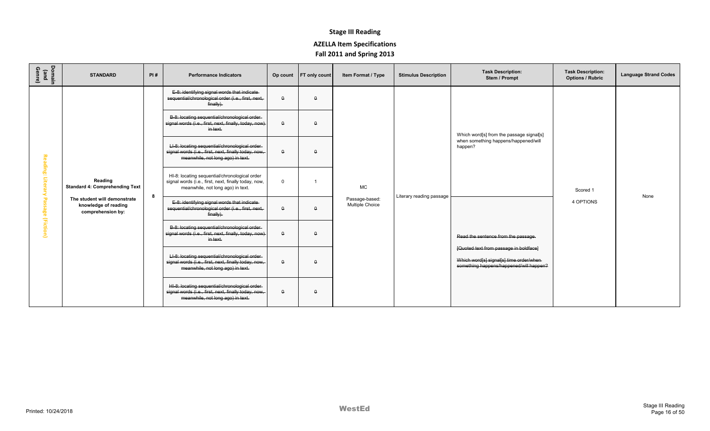| Domain<br>(and<br>Genre) | <b>STANDARD</b>                                                           | PI# | <b>Performance Indicators</b>                                                                                                               | Op count    | <b>FT only count</b> | Item Format / Type                | <b>Stimulus Description</b> | <b>Task Description:</b><br>Stem / Prompt                                                                                     | <b>Task Description:</b><br><b>Options / Rubric</b> | <b>Language Strand Codes</b> |
|--------------------------|---------------------------------------------------------------------------|-----|---------------------------------------------------------------------------------------------------------------------------------------------|-------------|----------------------|-----------------------------------|-----------------------------|-------------------------------------------------------------------------------------------------------------------------------|-----------------------------------------------------|------------------------------|
|                          |                                                                           |     | E-8: identifying signal words that indicate-<br>sequential/chronological order (i.e., first, next,<br>finally.                              | Δ           | $\Omega$             |                                   |                             |                                                                                                                               |                                                     |                              |
|                          |                                                                           |     | B-8: locating sequential/chronological order-<br>signal words (i.e., first, next, finally, today, now)<br>in text.                          | $\Omega$    | $\Omega$             |                                   |                             | Which word[s] from the passage signal[s]                                                                                      |                                                     |                              |
|                          |                                                                           |     | LI-8: locating sequential/chronological order-<br>signal words (i.e., first, next, finally today, now,<br>meanwhile, not long ago) in text. | Α.          | $\Omega$             |                                   |                             | when something happens/happened/will<br>happen?                                                                               |                                                     |                              |
| Reading: Literary        | Reading<br><b>Standard 4: Comprehending Text</b>                          | 8   | HI-8: locating sequential/chronological order<br>signal words (i.e., first, next, finally today, now,<br>meanwhile, not long ago) in text.  | $\mathbf 0$ |                      | MC                                | Literary reading passage    |                                                                                                                               | Scored 1                                            | None                         |
| Passage (Fiction)        | The student will demonstrate<br>knowledge of reading<br>comprehension by: |     | E-8: identifying signal words that indicate-<br>sequential/chronological order (i.e., first, next,<br>finally).                             | $\Omega$    | $\Omega$             | Passage-based:<br>Multiple Choice |                             |                                                                                                                               | 4 OPTIONS                                           |                              |
|                          |                                                                           |     | B-8: locating sequential/chronological order-<br>signal words (i.e., first, next, finally, today, now)<br>in text.                          | $\Omega$    | $\Omega$             |                                   |                             | Read the sentence from the passage.                                                                                           |                                                     |                              |
|                          |                                                                           |     | LI-8: locating sequential/chronological order-<br>signal words (i.e., first, next, finally today, now,<br>meanwhile, not long ago) in text. | $\Omega$    | $\Omega$             |                                   |                             | [Quoted text from passage in boldface]<br>Which word[s] signal[s] time order/when-<br>something happens/happened/will happen? |                                                     |                              |
|                          |                                                                           |     | HI-8: locating sequential/chronological order-<br>signal words (i.e., first, next, finally today, now,<br>meanwhile, not long ago) in text. | $\theta$    | $\Omega$             |                                   |                             |                                                                                                                               |                                                     |                              |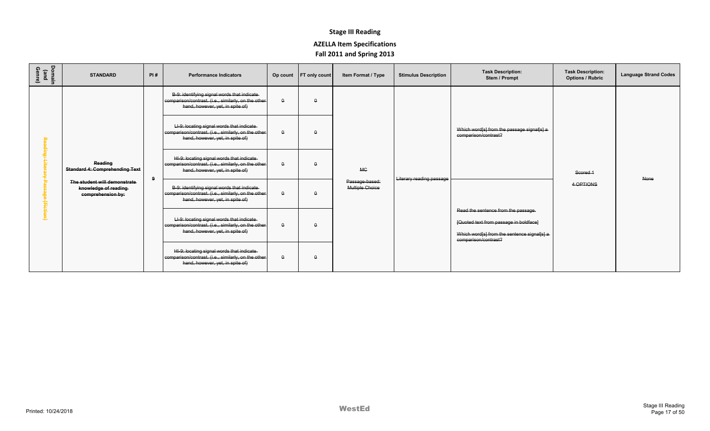| Domain<br>(and<br>Genre) | <b>STANDARD</b>                                                           | PI# | <b>Performance Indicators</b>                                                                                                            |              | Op count   FT only count | Item Format / Type                | <b>Stimulus Description</b> | <b>Task Description:</b><br>Stem / Prompt                                                                                                            | <b>Task Description:</b><br><b>Options / Rubric</b> | <b>Language Strand Codes</b> |
|--------------------------|---------------------------------------------------------------------------|-----|------------------------------------------------------------------------------------------------------------------------------------------|--------------|--------------------------|-----------------------------------|-----------------------------|------------------------------------------------------------------------------------------------------------------------------------------------------|-----------------------------------------------------|------------------------------|
|                          |                                                                           |     | B-9: identifying signal words that indicate-<br>comparison/contrast. (i.e., similarly, on the other-<br>hand, however, yet, in spite of) | $\theta$     | $\Omega$                 |                                   |                             |                                                                                                                                                      |                                                     |                              |
|                          |                                                                           |     | LI-9: locating signal words that indicate-<br>comparison/contrast. (i.e., similarly, on the other<br>hand, however, yet, in spite of)    | $\mathsf{o}$ | $\Omega$                 |                                   |                             | Which word[s] from the passage signal[s] a<br>comparison/contrast?                                                                                   |                                                     |                              |
|                          | Reading<br><b>Standard 4: Comprehending Text</b>                          | 9   | HI-9: locating signal words that indicate<br>comparison/contrast. (i.e., similarly, on the other<br>hand, however, yet, in spite of)     | $\mathsf{o}$ |                          | <b>MC</b>                         | Literary reading passage    |                                                                                                                                                      | Scored 1                                            | None                         |
|                          | The student will demonstrate<br>knowledge of reading<br>comprehension by: |     | B-9: identifying signal words that indicate-<br>comparison/contrast. (i.e., similarly, on the other-<br>hand, however, yet, in spite of) | $\theta$     |                          | Passage-based:<br>Multiple Choice |                             |                                                                                                                                                      | 4 OPTIONS                                           |                              |
|                          |                                                                           |     | LI-9: locating signal words that indicate-<br>comparison/contrast. (i.e., similarly, on the other<br>hand, however, yet, in spite of)    | $\Omega$     |                          |                                   |                             | Read the sentence from the passage.<br>[Quoted text from passage in boldface]<br>Which word[s] from the sentence signal[s] a<br>comparison/contrast? |                                                     |                              |
|                          |                                                                           |     | HI-9: locating signal words that indicate-<br>comparison/contrast. (i.e., similarly, on the other<br>hand, however, yet, in spite of)    | $\theta$     | $\Omega$                 |                                   |                             |                                                                                                                                                      |                                                     |                              |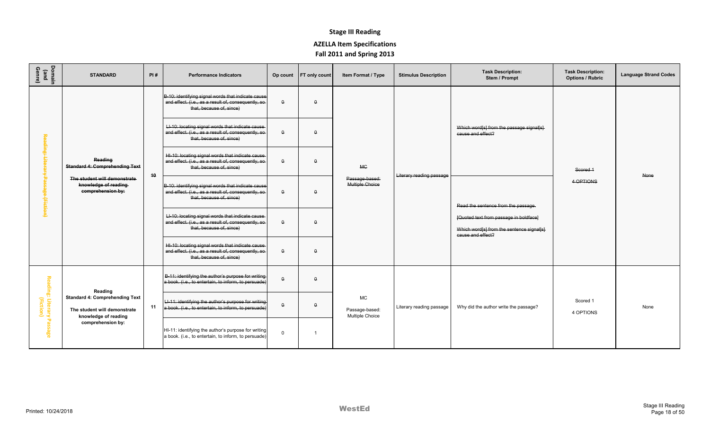| Domain<br>(and<br>Genre)                               | <b>STANDARD</b>                                                           | PI#           | <b>Performance Indicators</b>                                                                                                         | Op count     | <b>FT</b> only count | Item Format / Type                                    | <b>Stimulus Description</b> | <b>Task Description:</b><br>Stem / Prompt                                                                | <b>Task Description:</b><br><b>Options / Rubric</b> | <b>Language Strand Codes</b> |
|--------------------------------------------------------|---------------------------------------------------------------------------|---------------|---------------------------------------------------------------------------------------------------------------------------------------|--------------|----------------------|-------------------------------------------------------|-----------------------------|----------------------------------------------------------------------------------------------------------|-----------------------------------------------------|------------------------------|
|                                                        |                                                                           |               | B-10: identifying signal words that indicate cause<br>and effect. (i.e., as a result of, consequently, so<br>that, because of, since) | $\Omega$     | $\Omega$             |                                                       |                             |                                                                                                          |                                                     |                              |
|                                                        |                                                                           |               | LI-10: locating signal words that indicate cause<br>and effect. (i.e., as a result of, consequently, so<br>that, because of, since)   | $\Omega$     | $\Omega$             |                                                       |                             | Which word[s] from the passage signal[s]<br>cause and effect?                                            |                                                     |                              |
|                                                        | Reading<br><b>Standard 4: Comprehending Text</b>                          | 40            | HI-10: locating signal words that indicate cause<br>and effect. (i.e., as a result of, consequently, so-<br>that, because of, since)  | $\theta$     | $\theta$             | <b>MC</b><br>Passage-based:<br><b>Multiple Choice</b> | Literary reading passage    |                                                                                                          | Scored 1                                            | None                         |
| <del>ge (Fiction)</del>                                | The student will demonstrate<br>knowledge of reading<br>comprehension by: |               | B-10: identifying signal words that indicate cause<br>and effect. (i.e., as a result of, consequently, so<br>that, because of, since) | $\theta$     | $\theta$             |                                                       |                             | Read the sentence from the passage.                                                                      | 4 OPTIONS                                           |                              |
|                                                        |                                                                           |               | LI-10: locating signal words that indicate cause<br>and effect. (i.e., as a result of, consequently, so<br>that, because of, since)   | $\Omega$     | $\Omega$             |                                                       |                             | [Quoted text from passage in boldface]<br>Which word[s] from the sentence signal[s]<br>cause and effect? |                                                     |                              |
|                                                        |                                                                           |               | HI-10: locating signal words that indicate cause<br>and effect. (i.e., as a result of, consequently, so<br>that, because of, since)   | $\mathbf{a}$ | $\Omega$             |                                                       |                             |                                                                                                          |                                                     |                              |
|                                                        |                                                                           | Reading<br>11 | B-11: identifying the author's purpose for writing<br>a book. (i.e., to entertain, to inform, to persuade)                            | $\Omega$     | $\Omega$             |                                                       |                             |                                                                                                          |                                                     |                              |
| Reading: Literary Passage<br>Reading: Literary Passage | <b>Standard 4: Comprehending Text</b><br>The student will demonstrate     |               | LI-11: identifying the author's purpose for writing<br>a book. (i.e., to entertain, to inform, to persuade)                           | $\mathsf{o}$ | $\Omega$             | <b>MC</b><br>Passage-based:<br>Multiple Choice        | Literary reading passage    | Why did the author write the passage?                                                                    | Scored 1<br>4 OPTIONS                               | None                         |
|                                                        | knowledge of reading<br>comprehension by:                                 |               | HI-11: identifying the author's purpose for writing<br>a book. (i.e., to entertain, to inform, to persuade)                           | $\Omega$     |                      |                                                       |                             |                                                                                                          |                                                     |                              |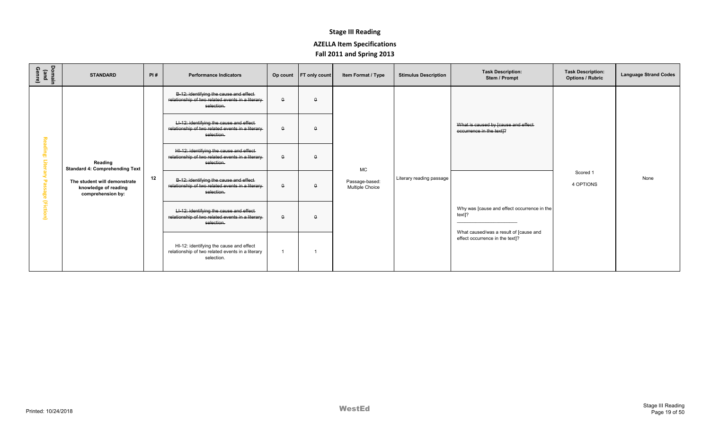| Domain<br>(and<br>Genre) | <b>STANDARD</b>                                                           | PI# | <b>Performance Indicators</b>                                                                               |              | Op count FT only count | Item Format / Type                | <b>Stimulus Description</b> | <b>Task Description:</b><br>Stem / Prompt                                      | <b>Task Description:</b><br><b>Options / Rubric</b> | <b>Language Strand Codes</b> |
|--------------------------|---------------------------------------------------------------------------|-----|-------------------------------------------------------------------------------------------------------------|--------------|------------------------|-----------------------------------|-----------------------------|--------------------------------------------------------------------------------|-----------------------------------------------------|------------------------------|
|                          |                                                                           |     | B-12: identifying the cause and effect<br>relationship of two related events in a literary-<br>selection.   | $\theta$     | $\Omega$               |                                   |                             |                                                                                |                                                     |                              |
|                          |                                                                           |     | LI-12: identifying the cause and effect-<br>relationship of two related events in a literary-<br>selection. | $\theta$     | $\Omega$               |                                   |                             | What is caused by [cause and effect<br>occurrence in the text]?                |                                                     |                              |
|                          | Reading<br><b>Standard 4: Comprehending Text</b>                          |     | HI-12: identifying the cause and effect<br>relationship of two related events in a literary-<br>selection.  | $\mathsf{o}$ | $\Omega$               | <b>MC</b>                         |                             |                                                                                |                                                     |                              |
| (Fiction)                | The student will demonstrate<br>knowledge of reading<br>comprehension by: | 12  | B-12: identifying the cause and effect-<br>relationship of two related events in a literary-<br>selection.  | $\theta$     | $\Omega$               | Passage-based:<br>Multiple Choice | Literary reading passage    | Scored 1<br>4 OPTIONS<br>Why was [cause and effect occurrence in the<br>text]? |                                                     | None                         |
|                          |                                                                           |     | LI-12: identifying the cause and effect-<br>relationship of two related events in a literary-<br>selection. | $\theta$     | $\Omega$               |                                   |                             |                                                                                |                                                     |                              |
|                          |                                                                           |     | HI-12: identifying the cause and effect<br>relationship of two related events in a literary<br>selection.   |              |                        |                                   |                             | What caused/was a result of [cause and<br>effect occurrence in the text]?      |                                                     |                              |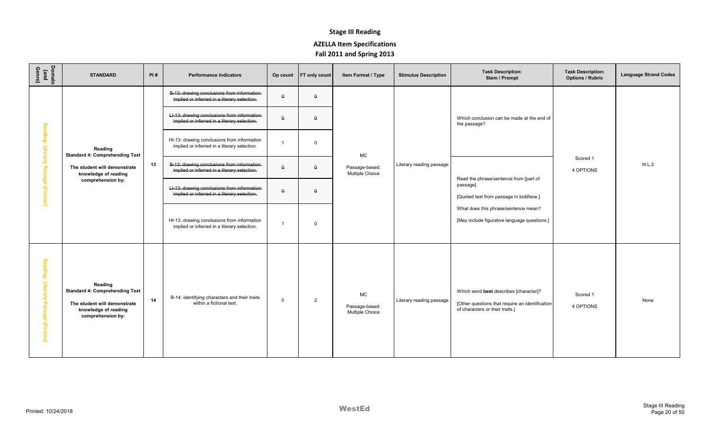| Domain<br>(and<br>Genre)            | <b>STANDARD</b>                                                                                                               | PI# | <b>Performance Indicators</b>                                                                | Op count          | <b>FT only count</b> | Item Format / Type                      | <b>Stimulus Description</b> | <b>Task Description:</b><br>Stem / Prompt                                                                                    | <b>Task Description:</b><br><b>Options / Rubric</b> | <b>Language Strand Codes</b> |
|-------------------------------------|-------------------------------------------------------------------------------------------------------------------------------|-----|----------------------------------------------------------------------------------------------|-------------------|----------------------|-----------------------------------------|-----------------------------|------------------------------------------------------------------------------------------------------------------------------|-----------------------------------------------------|------------------------------|
|                                     |                                                                                                                               |     | B-13: drawing conclusions from information<br>implied or inferred in a literary selection.   | $\Omega$          | $\Omega$             |                                         |                             |                                                                                                                              |                                                     |                              |
|                                     |                                                                                                                               |     | LI-13: drawing conclusions from information-<br>implied or inferred in a literary selection. | $\theta$          | $\Omega$             |                                         |                             | Which conclusion can be made at the end of<br>the passage?                                                                   |                                                     |                              |
|                                     | Reading<br><b>Standard 4: Comprehending Text</b>                                                                              |     | HI-13: drawing conclusions from information<br>implied or inferred in a literary selection.  |                   | $\Omega$             | MC                                      |                             |                                                                                                                              |                                                     | III.L.2                      |
|                                     | Reading: Literary Passage (Fiction)<br>The student will demonstrate<br>knowledge of reading<br>comprehension by:              | 13  | B-13: drawing conclusions from information-<br>implied or inferred in a literary selection.  | $\Omega$          | $\theta$             | Passage-based:<br>Multiple Choice       | Literary reading passage    | Read the phrase/sentence from [part of                                                                                       | Scored 1<br>4 OPTIONS                               |                              |
|                                     |                                                                                                                               |     | LI-13: drawing conclusions from information-<br>implied or inferred in a literary selection. | $\mathbf{\Omega}$ | $\theta$             |                                         |                             | passage].<br>[Quoted text from passage in boldface.]                                                                         |                                                     |                              |
|                                     |                                                                                                                               |     | HI-13: drawing conclusions from information<br>implied or inferred in a literary selection.  |                   | $\Omega$             |                                         |                             | What does this phrase/sentence mean?<br>[May include figurative language questions.]                                         |                                                     |                              |
| Reading: Literary Passage (Fiction) | Reading<br><b>Standard 4: Comprehending Text</b><br>The student will demonstrate<br>knowledge of reading<br>comprehension by: | 14  | B-14: identifying characters and their traits<br>within a fictional text.                    | $\Omega$          | 2                    | MC<br>Passage-based:<br>Multiple Choice | Literary reading passage    | Which word best describes [character]?<br>[Other questions that require an identification<br>of characters or their traits.] | Scored 1<br>4 OPTIONS                               | None                         |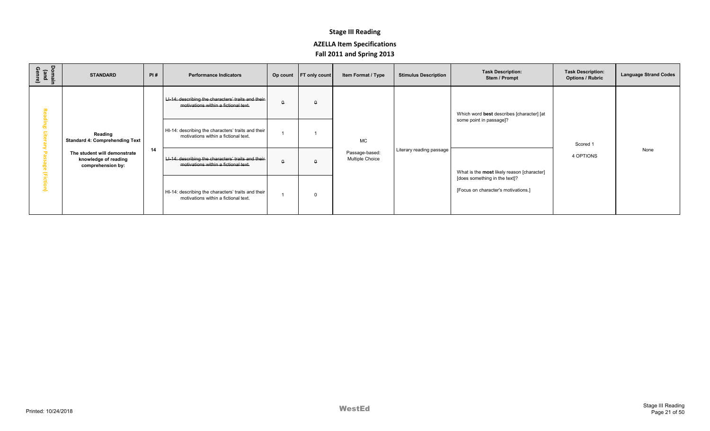| Domain<br>(and<br>Genre) | <b>STANDARD</b>                                                           | PI# | <b>Performance Indicators</b>                                                                |   | Op count FT only count | Item Format / Type                       | <b>Stimulus Description</b> | <b>Task Description:</b><br>Stem / Prompt                            | <b>Task Description:</b><br><b>Options / Rubric</b> | <b>Language Strand Codes</b> |
|--------------------------|---------------------------------------------------------------------------|-----|----------------------------------------------------------------------------------------------|---|------------------------|------------------------------------------|-----------------------------|----------------------------------------------------------------------|-----------------------------------------------------|------------------------------|
|                          |                                                                           |     | LI-14: describing the characters' traits and their  <br>motivations within a fictional text. | θ | $\theta$               |                                          |                             | Which word best describes [character] [at                            |                                                     |                              |
|                          | Reading<br><b>Standard 4: Comprehending Text</b>                          |     | HI-14: describing the characters' traits and their<br>motivations within a fictional text.   |   |                        | <b>MC</b>                                |                             | some point in passage]?                                              | Scored 1                                            |                              |
|                          | The student will demonstrate<br>knowledge of reading<br>comprehension by: | 14  | LI-14: describing the characters' traits and their<br>motivations within a fictional text.   |   | $\Omega$               | Passage-based:<br><b>Multiple Choice</b> | Literary reading passage    | What is the most likely reason [character]                           | 4 OPTIONS                                           | None                         |
|                          |                                                                           |     | HI-14: describing the characters' traits and their<br>motivations within a fictional text.   |   | $\Omega$               |                                          |                             | [does something in the text]?<br>[Focus on character's motivations.] |                                                     |                              |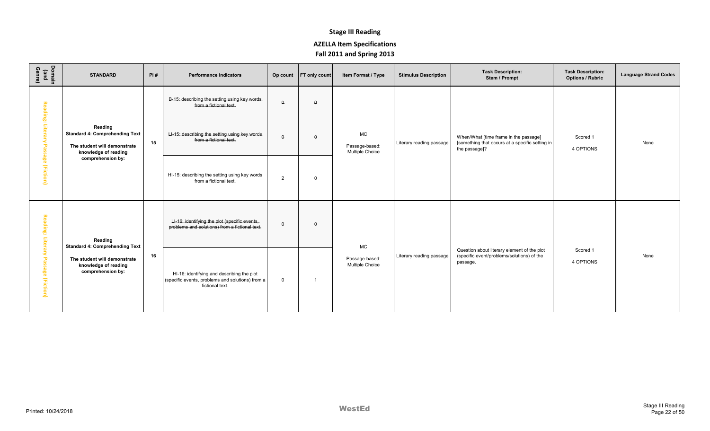| Domain<br>(and<br>Genre) | <b>STANDARD</b>                                                                                          | PI# | <b>Performance Indicators</b>                                                                                     |                | Op count FT only count | Item Format / Type                                    | <b>Stimulus Description</b> | <b>Task Description:</b><br>Stem / Prompt                                                                 | <b>Task Description:</b><br><b>Options / Rubric</b> | <b>Language Strand Codes</b> |
|--------------------------|----------------------------------------------------------------------------------------------------------|-----|-------------------------------------------------------------------------------------------------------------------|----------------|------------------------|-------------------------------------------------------|-----------------------------|-----------------------------------------------------------------------------------------------------------|-----------------------------------------------------|------------------------------|
|                          |                                                                                                          |     | B-15: describing the setting using key words<br>from a fictional text.                                            | $\theta$       | $\theta$               |                                                       |                             |                                                                                                           |                                                     |                              |
| Reading: Literary        | Reading<br><b>Standard 4: Comprehending Text</b><br>The student will demonstrate<br>knowledge of reading | 15  | LI-15: describing the setting using key words-<br>from a fictional text.                                          | $\theta$       | $\Omega$               | <b>MC</b><br>Passage-based:<br><b>Multiple Choice</b> | Literary reading passage    | When/What [time frame in the passage]<br>[something that occurs at a specific setting in<br>the passage]? | Scored 1<br>4 OPTIONS                               | None                         |
| Passage (Fiction)        | comprehension by:                                                                                        |     | HI-15: describing the setting using key words<br>from a fictional text.                                           | $\overline{2}$ | $\Omega$               |                                                       |                             |                                                                                                           |                                                     |                              |
| Reading: Literary        | Reading<br><b>Standard 4: Comprehending Text</b>                                                         |     | LI-16: identifying the plot (specific events,<br>problems and solutions) from a fictional text.                   | $\mathsf{o}$   | $\Omega$               | MC                                                    |                             |                                                                                                           |                                                     |                              |
| Passage (Fiction)        | The student will demonstrate<br>knowledge of reading<br>comprehension by:                                | 16  | HI-16: identifying and describing the plot<br>(specific events, problems and solutions) from a<br>fictional text. | $\mathbf 0$    | -1                     | Passage-based:<br>Multiple Choice                     | Literary reading passage    | Question about literary element of the plot<br>(specific event/problems/solutions) of the<br>passage.     | Scored 1<br>4 OPTIONS                               | None                         |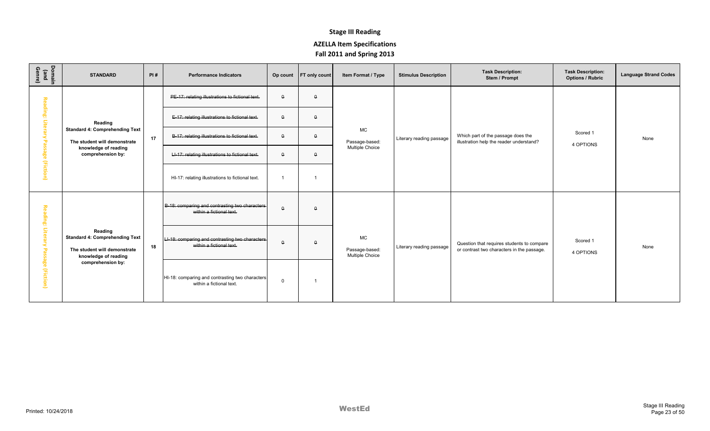| Domain<br>(and<br>Genre)                      | <b>STANDARD</b>                                                                                                               | PI# | <b>Performance Indicators</b>                                               |             | Op count FT only count  | Item Format / Type                             | <b>Stimulus Description</b> | <b>Task Description:</b><br>Stem / Prompt                                                | <b>Task Description:</b><br><b>Options / Rubric</b> | <b>Language Strand Codes</b> |
|-----------------------------------------------|-------------------------------------------------------------------------------------------------------------------------------|-----|-----------------------------------------------------------------------------|-------------|-------------------------|------------------------------------------------|-----------------------------|------------------------------------------------------------------------------------------|-----------------------------------------------------|------------------------------|
| Rea                                           |                                                                                                                               |     | PE-17: relating illustrations to fictional text.                            | $\theta$    | $\theta$                |                                                |                             |                                                                                          |                                                     |                              |
| ding:<br>Litera                               | Reading                                                                                                                       |     | E-17: relating illustrations to fictional text.                             | $\theta$    | $\Omega$                |                                                |                             |                                                                                          |                                                     |                              |
| ᅮ                                             | <b>Standard 4: Comprehending Text</b><br>The student will demonstrate                                                         | 17  | B-17: relating illustrations to fictional text.                             | $\theta$    | $\Omega$                | <b>MC</b><br>Passage-based:                    | Literary reading passage    | Which part of the passage does the<br>illustration help the reader understand?           | Scored 1<br>4 OPTIONS                               | None                         |
|                                               | knowledge of reading<br>comprehension by:                                                                                     |     | LI-17: relating illustrations to fictional text.                            | $\theta$    | $\Omega$                | <b>Multiple Choice</b>                         |                             |                                                                                          |                                                     |                              |
|                                               | age (Fiction)                                                                                                                 |     | HI-17: relating illustrations to fictional text.                            |             | $\overline{\mathbf{1}}$ |                                                |                             |                                                                                          |                                                     |                              |
| 認<br>ding:<br>Litera<br>ᅮ<br>age<br>(Fiction) | Reading<br><b>Standard 4: Comprehending Text</b><br>The student will demonstrate<br>knowledge of reading<br>comprehension by: |     | B-18: comparing and contrasting two characters-<br>within a fictional text. | $\theta$    | $\Omega$                | <b>MC</b><br>Passage-based:<br>Multiple Choice | Literary reading passage    | Question that requires students to compare<br>or contrast two characters in the passage. | Scored 1<br>4 OPTIONS                               |                              |
|                                               |                                                                                                                               | 18  | LI-18: comparing and contrasting two characters<br>within a fictional text. | $\theta$    | $\Omega$                |                                                |                             |                                                                                          |                                                     | None                         |
|                                               |                                                                                                                               |     | HI-18: comparing and contrasting two characters<br>within a fictional text. | $\mathbf 0$ |                         |                                                |                             |                                                                                          |                                                     |                              |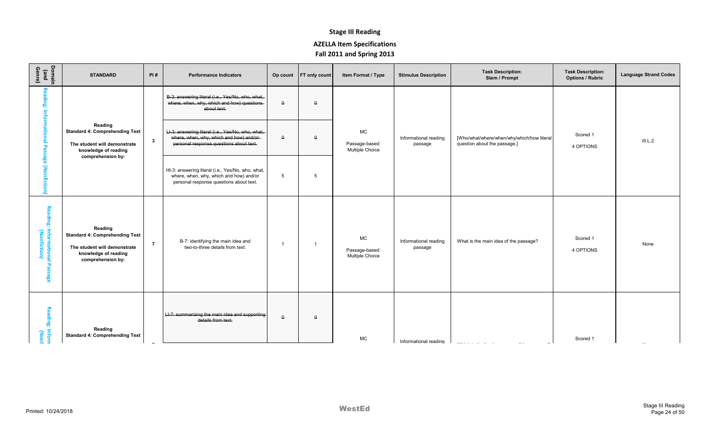| Domain<br>(and<br>Genre)                       | <b>STANDARD</b>                                                                                                               | PI#            | <b>Performance Indicators</b>                                                                                                            | Op count | <b>FT</b> only count | Item Format / Type                             | <b>Stimulus Description</b>      | <b>Task Description:</b><br>Stem / Prompt                                  | <b>Task Description:</b><br><b>Options / Rubric</b> | <b>Language Strand Codes</b> |
|------------------------------------------------|-------------------------------------------------------------------------------------------------------------------------------|----------------|------------------------------------------------------------------------------------------------------------------------------------------|----------|----------------------|------------------------------------------------|----------------------------------|----------------------------------------------------------------------------|-----------------------------------------------------|------------------------------|
| Reading: Informational Pa                      |                                                                                                                               |                | B-3: answering literal (i.e., Yes/No, who, what,<br>where, when, why, which and how) questions-<br>about text.                           | $\theta$ | $\theta$             |                                                |                                  |                                                                            |                                                     |                              |
|                                                | Reading<br><b>Standard 4: Comprehending Text</b><br>The student will demonstrate<br>knowledge of reading                      | $\mathbf{3}$   | LI-3: answering literal (i.e., Yes/No, who, what,<br>where, when, why, which and how) and/or-<br>personal response questions about text. | $\Omega$ | $\Omega$             | MC<br>Passage-based:<br>Multiple Choice        | Informational reading<br>passage | [Who/what/where/when/why/which/how literal<br>question about the passage.] | Scored 1<br>4 OPTIONS                               | III.L.2                      |
| sage (Nonfiction)                              | comprehension by:                                                                                                             |                | HI-3: answering literal (i.e., Yes/No, who, what,<br>where, when, why, which and how) and/or<br>personal response questions about text.  | 5        | 5                    |                                                |                                  |                                                                            |                                                     |                              |
| Reading: Informational Passage<br>(Nonfiction) | Reading<br><b>Standard 4: Comprehending Text</b><br>The student will demonstrate<br>knowledge of reading<br>comprehension by: | $\overline{7}$ | B-7: identifying the main idea and<br>two-to-three details from text.                                                                    |          | -1                   | <b>MC</b><br>Passage-based:<br>Multiple Choice | Informational reading<br>passage | What is the main idea of the passage?                                      | Scored 1<br>4 OPTIONS                               | None                         |
| Reading: Inforn<br>Reading: Inforn             | Reading<br><b>Standard 4: Comprehending Text</b>                                                                              |                | LI-7: summarizing the main idea and supporting<br>details from text.                                                                     | $\Omega$ | $\Omega$             | МC                                             | Informational reading            |                                                                            | Scored 1                                            |                              |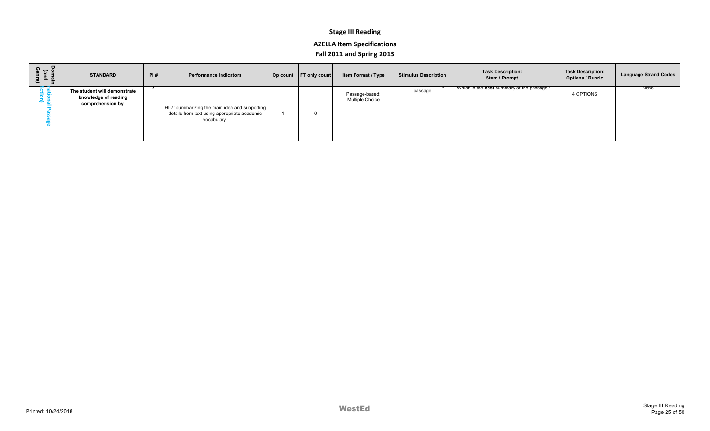| Domai<br>(and<br>Genre | <b>STANDARD</b>                                                           | PI# | <b>Performance Indicators</b>                                                                                 | Op count FT only count | <b>Item Format / Type</b>                | <b>Stimulus Description</b> | <b>Task Description:</b><br>Stem / Prompt        | <b>Task Description:</b><br><b>Options / Rubric</b> | <b>Language Strand Codes</b> |
|------------------------|---------------------------------------------------------------------------|-----|---------------------------------------------------------------------------------------------------------------|------------------------|------------------------------------------|-----------------------------|--------------------------------------------------|-----------------------------------------------------|------------------------------|
|                        | The student will demonstrate<br>knowledge of reading<br>comprehension by: |     | HI-7: summarizing the main idea and supporting<br>details from text using appropriate academic<br>vocabulary. |                        | Passage-based:<br><b>Multiple Choice</b> | passage                     | Which is the <b>best</b> summary of the passage? | 4 OPTIONS                                           | None                         |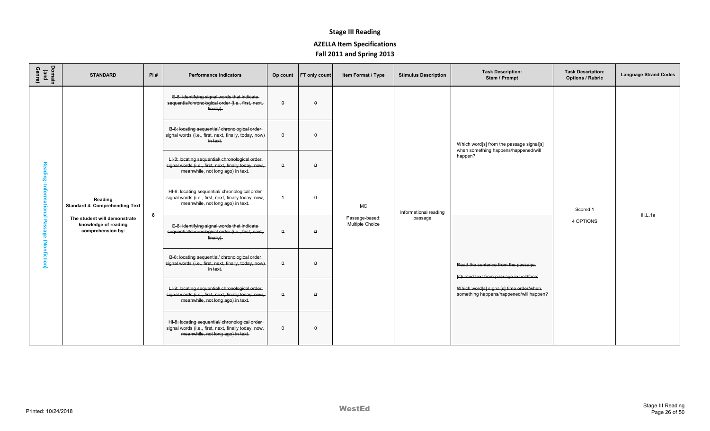| Domain<br>(and<br>Genre) | <b>STANDARD</b>                                                           | PI# | <b>Performance Indicators</b>                                                                                                                | Op count       | <b>FT</b> only count | Item Format / Type                | <b>Stimulus Description</b> | <b>Task Description:</b><br>Stem / Prompt                                          | <b>Task Description:</b><br><b>Options / Rubric</b> | <b>Language Strand Codes</b> |
|--------------------------|---------------------------------------------------------------------------|-----|----------------------------------------------------------------------------------------------------------------------------------------------|----------------|----------------------|-----------------------------------|-----------------------------|------------------------------------------------------------------------------------|-----------------------------------------------------|------------------------------|
|                          |                                                                           |     | E-8: identifying signal words that indicate-<br>sequential/chronological order (i.e., first, next,<br>$finally)$ .                           | $\theta$       | $\Omega$             |                                   |                             |                                                                                    |                                                     |                              |
|                          |                                                                           |     | B-8: locating sequential/ chronological order-<br>signal words (i.e., first, next, finally, today, now)<br>in text.                          | $\theta$       | $\Omega$             |                                   |                             | Which word[s] from the passage signal[s]<br>when something happens/happened/will   |                                                     |                              |
| Reading:                 |                                                                           |     | LI-8: locating sequential/ chronological order<br>signal words (i.e., first, next, finally today, now,<br>meanwhile, not long ago) in text.  | $\theta$       | $\Omega$             |                                   |                             | happen?                                                                            |                                                     |                              |
| <b>Informational</b>     | Reading<br><b>Standard 4: Comprehending Text</b>                          |     | HI-8: locating sequential/ chronological order<br>signal words (i.e., first, next, finally today, now,<br>meanwhile, not long ago) in text.  | $\overline{1}$ | $\Omega$             | <b>MC</b>                         | Informational reading       |                                                                                    | Scored 1                                            |                              |
| Pa<br>ssage (Nonfiction) | The student will demonstrate<br>knowledge of reading<br>comprehension by: | 8   | E-8: identifying signal words that indicate-<br>sequential/chronological order (i.e., first, next,<br>finally.                               | $\theta$       | $\mathbf{a}$         | Passage-based:<br>Multiple Choice | passage                     | 4 OPTIONS                                                                          | III.L.1a                                            |                              |
|                          |                                                                           |     | B-8: locating sequential/ chronological order-<br>signal words (i.e., first, next, finally, today, now)<br>in text.                          | $\mathsf{o}$   | $\Omega$             |                                   |                             | Read the sentence from the passage.<br>[Quoted text from passage in boldface]      |                                                     |                              |
|                          |                                                                           |     | LI-8: locating sequential/ chronological order-<br>signal words (i.e., first, next, finally today, now,<br>meanwhile, not long ago) in text. | $\theta$       | $\Omega$             |                                   |                             | Which word[s] signal[s] time order/when<br>something happens/happened/will happen? |                                                     |                              |
|                          |                                                                           |     | HI-8: locating sequential/ chronological order-<br>signal words (i.e., first, next, finally today, now,<br>meanwhile, not long ago) in text. | $\theta$       | $\Omega$             |                                   |                             |                                                                                    |                                                     |                              |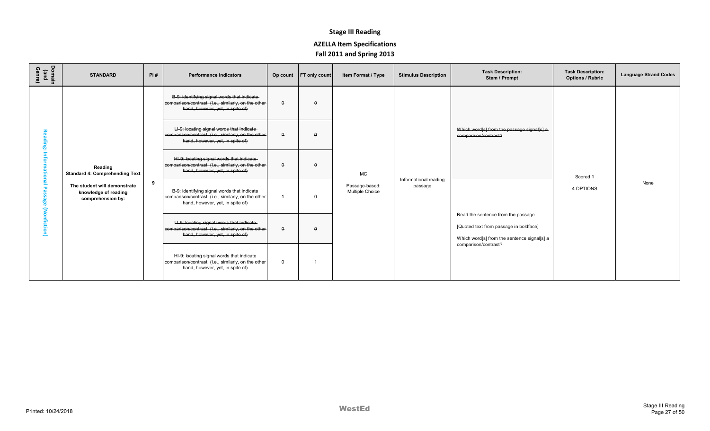| Domain<br>(and<br>Genre) | <b>STANDARD</b>                                                           | PI# | <b>Performance Indicators</b>                                                                                                            |              | Op count FT only count | Item Format / Type                | <b>Stimulus Description</b> | <b>Task Description:</b><br>Stem / Prompt                                                                                    | <b>Task Description:</b><br><b>Options / Rubric</b> | <b>Language Strand Codes</b> |
|--------------------------|---------------------------------------------------------------------------|-----|------------------------------------------------------------------------------------------------------------------------------------------|--------------|------------------------|-----------------------------------|-----------------------------|------------------------------------------------------------------------------------------------------------------------------|-----------------------------------------------------|------------------------------|
|                          |                                                                           |     | B-9: identifying signal words that indicate-<br>comparison/contrast. (i.e., similarly, on the other-<br>hand, however, yet, in spite of) | $\theta$     | $\Omega$               |                                   |                             |                                                                                                                              |                                                     |                              |
|                          |                                                                           |     | LI-9: locating signal words that indicate<br>comparison/contrast. (i.e., similarly, on the other-<br>hand, however, yet, in spite of)    | $\theta$     | $\Omega$               |                                   |                             | Which word[s] from the passage signal[s] a<br>comparison/contrast?                                                           |                                                     |                              |
|                          | Reading<br><b>Standard 4: Comprehending Text</b>                          |     | HI-9: locating signal words that indicate-<br>comparison/contrast. (i.e., similarly, on the other<br>hand, however, yet, in spite of)    | $\theta$     | $\Omega$               | <b>MC</b>                         | Informational reading       |                                                                                                                              | Scored 1                                            |                              |
| fiction                  | The student will demonstrate<br>knowledge of reading<br>comprehension by: | 9   | B-9: identifying signal words that indicate<br>comparison/contrast. (i.e., similarly, on the other<br>hand, however, yet, in spite of)   |              | $\Omega$               | Passage-based:<br>Multiple Choice | passage                     |                                                                                                                              | 4 OPTIONS                                           | None                         |
|                          |                                                                           |     | LI-9: locating signal words that indicate-<br>comparison/contrast. (i.e., similarly, on the other-<br>hand, however, yet, in spite of)   | $\theta$     | $\theta$               |                                   |                             | Read the sentence from the passage.<br>[Quoted text from passage in boldface]<br>Which word[s] from the sentence signal[s] a |                                                     |                              |
|                          |                                                                           |     | HI-9: locating signal words that indicate<br>comparison/contrast. (i.e., similarly, on the other<br>hand, however, yet, in spite of)     | $\mathbf{0}$ |                        |                                   |                             | comparison/contrast?                                                                                                         |                                                     |                              |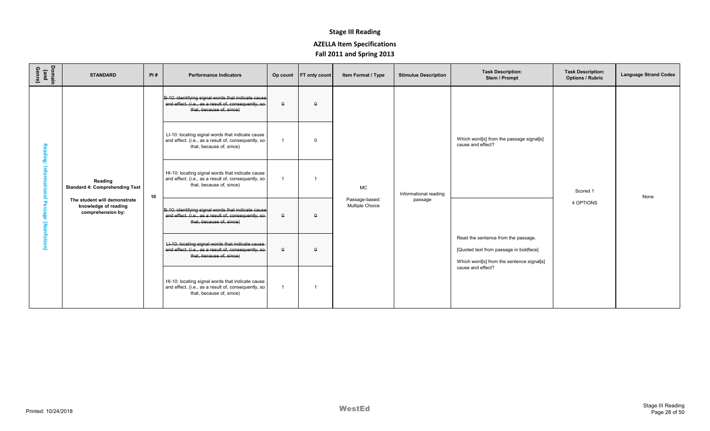| Domain<br>(and<br>Genre) | <b>STANDARD</b>                                                           | PI# | <b>Performance Indicators</b>                                                                                                          |          | Op count FT only count | Item Format / Type                | <b>Stimulus Description</b> | <b>Task Description:</b><br>Stem / Prompt                                                                                                       | <b>Task Description:</b><br><b>Options / Rubric</b> | <b>Language Strand Codes</b> |
|--------------------------|---------------------------------------------------------------------------|-----|----------------------------------------------------------------------------------------------------------------------------------------|----------|------------------------|-----------------------------------|-----------------------------|-------------------------------------------------------------------------------------------------------------------------------------------------|-----------------------------------------------------|------------------------------|
|                          |                                                                           |     | B-10: identifying signal words that indicate cause<br>and effect. (i.e., as a result of, consequently, so<br>that, because of, since)  | $\Omega$ | $\Omega$               |                                   |                             |                                                                                                                                                 |                                                     |                              |
| ding                     |                                                                           |     | LI-10: locating signal words that indicate cause<br>and effect. (i.e., as a result of, consequently, so<br>that, because of, since)    |          | $\Omega$               |                                   |                             | Which word[s] from the passage signal[s]<br>cause and effect?                                                                                   |                                                     |                              |
| 량                        | Reading<br><b>Standard 4: Comprehending Text</b>                          | 10  | HI-10: locating signal words that indicate cause<br>and effect. (i.e., as a result of, consequently, so<br>that, because of, since)    |          |                        | <b>MC</b>                         | Informational reading       |                                                                                                                                                 | Scored 1                                            | None                         |
| 꼉<br>(Nonfiction)        | The student will demonstrate<br>knowledge of reading<br>comprehension by: |     | B-10: identifying signal words that indicate cause<br>and effect. (i.e., as a result of, consequently, so-<br>that, because of, since) | $\theta$ | $\theta$               | Passage-based:<br>Multiple Choice | passage                     |                                                                                                                                                 | 4 OPTIONS                                           |                              |
|                          |                                                                           |     | LI-10: locating signal words that indicate cause<br>and effect. (i.e., as a result of, consequently, so-<br>that, because of, since)   | $\Omega$ | $\Omega$               |                                   |                             | Read the sentence from the passage.<br>[Quoted text from passage in boldface]<br>Which word[s] from the sentence signal[s]<br>cause and effect? |                                                     |                              |
|                          |                                                                           |     | HI-10: locating signal words that indicate cause<br>and effect. (i.e., as a result of, consequently, so<br>that, because of, since)    |          | -1                     |                                   |                             |                                                                                                                                                 |                                                     |                              |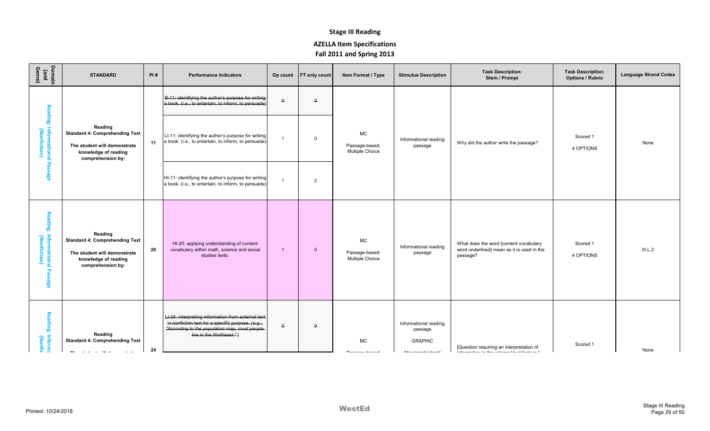| Domain<br>(and<br>Genre)                                           | <b>STANDARD</b>                                                                                                               | PI# | <b>Performance Indicators</b>                                                                                                                                                         | Op count     | <b>FT</b> only count | Item Format / Type                                    | <b>Stimulus Description</b>                                                                                                                                      | <b>Task Description:</b><br>Stem / Prompt                                                        | <b>Task Description:</b><br><b>Options / Rubric</b> | <b>Language Strand Codes</b> |
|--------------------------------------------------------------------|-------------------------------------------------------------------------------------------------------------------------------|-----|---------------------------------------------------------------------------------------------------------------------------------------------------------------------------------------|--------------|----------------------|-------------------------------------------------------|------------------------------------------------------------------------------------------------------------------------------------------------------------------|--------------------------------------------------------------------------------------------------|-----------------------------------------------------|------------------------------|
|                                                                    |                                                                                                                               |     | B-11: identifying the author's purpose for writing<br>a book. (i.e., to entertain, to inform, to persuade)                                                                            | $\theta$     | $\theta$             |                                                       |                                                                                                                                                                  |                                                                                                  |                                                     |                              |
| Reading:<br>: Informational I<br>(Nonfiction)                      | Reading<br><b>Standard 4: Comprehending Text</b><br>The student will demonstrate<br>knowledge of reading<br>comprehension by: | 11  | LI-11: identifying the author's purpose for writing<br>a book. (i.e., to entertain, to inform, to persuade)                                                                           | $\mathbf{1}$ | $\mathbf 0$          | <b>MC</b><br>Passage-based:<br>Multiple Choice        | Informational reading<br>passage                                                                                                                                 | Why did the author write the passage?                                                            | Scored 1<br>4 OPTIONS                               | None                         |
| <b>Passage</b>                                                     |                                                                                                                               |     | HI-11: identifying the author's purpose for writing<br>a book. (i.e., to entertain, to inform, to persuade)                                                                           | $\mathbf{1}$ | $\overline{2}$       |                                                       |                                                                                                                                                                  |                                                                                                  |                                                     |                              |
| Reading: Informational<br>Reading: Informational<br><b>Passage</b> | Reading<br><b>Standard 4: Comprehending Text</b><br>The student will demonstrate<br>knowledge of reading<br>comprehension by: | 20  | HI-20: applying understanding of content<br>vocabulary within math, science and social<br>studies texts.                                                                              | $\mathbf{1}$ | $\mathbf{0}$         | <b>MC</b><br>Passage-based:<br><b>Multiple Choice</b> | Informational reading<br>passage                                                                                                                                 | What does the word [content vocabulary<br>word underlined] mean as it is used in the<br>passage? | Scored 1<br>4 OPTIONS                               | III.L.2                      |
| Reading: Informa<br>Reading: Informa                               | Reading<br><b>Standard 4: Comprehending Text</b><br>$\sim$ .                                                                  | 24  | LI-24: interpreting information from external text-<br>in nonfiction text for a specific purpose. (e.g.,<br>"According to the population map, most people<br>live in the Northeast.") | $\Theta$     | $\mathbf{a}$         | <b>MC</b><br>$EXAMPLE 2$                              | Informational reading<br>passage<br><b>GRAPHIC</b><br>$\mathbf{K}(\mathbf{A})$ is an $\mathbf{I}(\mathbf{A})$ in a set of the following $\mathbf{I}(\mathbf{A})$ | [Question requiring an interpretation of<br>inguing care in an a Traditional graph care of       | Scored 1                                            | None                         |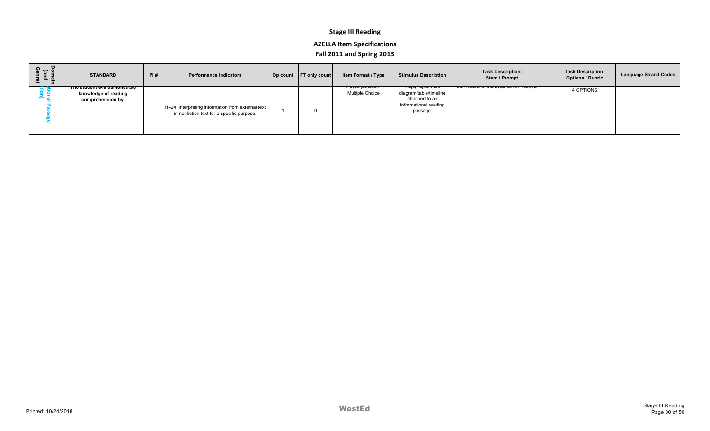| ទី ច ថ្មី<br>ு உ | <b>STANDARD</b>                                                           | PI# | <b>Performance Indicators</b>                                                                    | Op count FT only count | <b>Item Format / Type</b>         | <b>Stimulus Description</b>                                                                       | <b>Task Description:</b><br>Stem / Prompt | <b>Task Description:</b><br><b>Options / Rubric</b> | <b>Language Strand Codes</b> |
|------------------|---------------------------------------------------------------------------|-----|--------------------------------------------------------------------------------------------------|------------------------|-----------------------------------|---------------------------------------------------------------------------------------------------|-------------------------------------------|-----------------------------------------------------|------------------------------|
|                  | The student will demonstrate<br>knowledge of reading<br>comprehension by: |     | HI-24: interpreting information from external text<br>in nonfiction text for a specific purpose. |                        | Passage-based:<br>Multiple Choice | Map/graph/chart/<br>diagram/table/timeline<br>attached to an<br>informational reading<br>passage. | information in the external text feature. | 4 OPTIONS                                           |                              |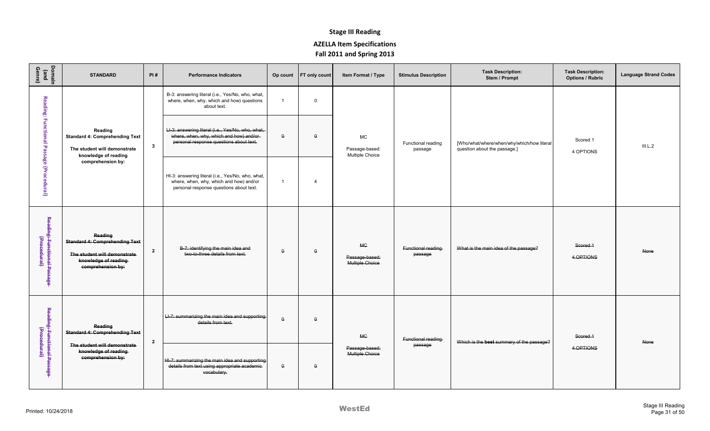| Domain<br>(and<br>Genre)                                           | <b>STANDARD</b>                                                                                                               | PI#            | <b>Performance Indicators</b>                                                                                                            | Op count             | FT only count  | Item Format / Type                             | <b>Stimulus Description</b>   | <b>Task Description:</b><br>Stem / Prompt                                  | <b>Task Description:</b><br><b>Options / Rubric</b> | <b>Language Strand Codes</b> |
|--------------------------------------------------------------------|-------------------------------------------------------------------------------------------------------------------------------|----------------|------------------------------------------------------------------------------------------------------------------------------------------|----------------------|----------------|------------------------------------------------|-------------------------------|----------------------------------------------------------------------------|-----------------------------------------------------|------------------------------|
|                                                                    |                                                                                                                               |                | B-3: answering literal (i.e., Yes/No, who, what,<br>where, when, why, which and how) questions<br>about text.                            | $\blacktriangleleft$ | $\Omega$       |                                                |                               |                                                                            |                                                     |                              |
| Reading: Functional Passage (Procedural)                           | Reading<br><b>Standard 4: Comprehending Text</b><br>The student will demonstrate<br>knowledge of reading                      | $\mathbf{3}$   | LI-3: answering literal (i.e., Yes/No, who, what,<br>where, when, why, which and how) and/or-<br>personal response questions about text. | $\theta$             | $\theta$       | <b>MC</b><br>Passage-based:<br>Multiple Choice | Functional reading<br>passage | [Who/what/where/when/why/which/how literal<br>question about the passage.] | Scored 1<br>4 OPTIONS                               | III.L.2                      |
|                                                                    | comprehension by:                                                                                                             |                | HI-3: answering literal (i.e., Yes/No, who, what,<br>where, when, why, which and how) and/or<br>personal response questions about text.  | $\mathbf{1}$         | $\overline{4}$ |                                                |                               |                                                                            |                                                     |                              |
| Reading <del>. Functional Passage</del><br>Gree <del>cdural)</del> | Reading<br><b>Standard 4: Comprehending Text</b><br>The student will demonstrate<br>knowledge of reading<br>comprehension by: | $\overline{f}$ | B-7: identifying the main idea and<br>two-to-three details from text.                                                                    | $\theta$             | $\theta$       | <b>MC</b><br>Passage-based:<br>Multiple Choice | Functional reading<br>passage | What is the main idea of the passage?                                      | Scored 1<br>4 OPTIONS                               | None                         |
| Reading <del>. Functional Passage</del><br>Gree <del>cdural)</del> | Reading<br><b>Standard 4: Comprehending Text</b>                                                                              | $\mathbf{z}$   | LI-7: summarizing the main idea and supporting<br>details from text.                                                                     | $\Omega$             | $\Omega$       | <b>MC</b>                                      | Functional reading            | Which is the best summary of the passage?                                  | Scored 1                                            | None                         |
|                                                                    | The student will demonstrate<br>knowledge of reading<br>comprehension by:                                                     |                | HI-7: summarizing the main idea and supporting<br>details from text using appropriate academic-<br>vocabulary.                           | $\theta$             | $\theta$       | Passage-based:<br>Multiple Choice              | passage                       |                                                                            | 4 OPTIONS                                           |                              |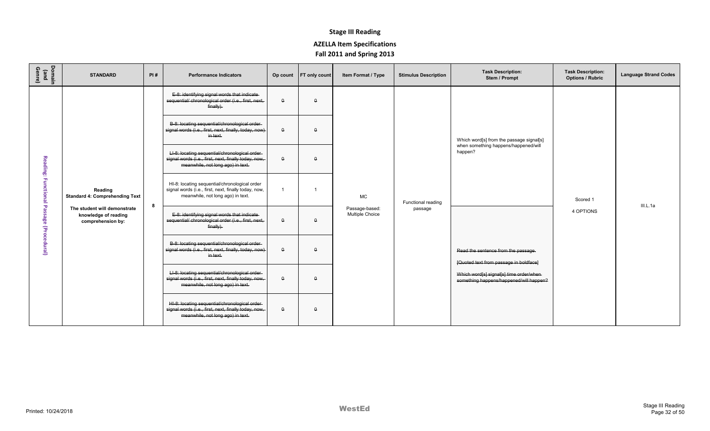| Domain<br>(and<br>Genre)                 | <b>STANDARD</b>                                                           | PI# | <b>Performance Indicators</b>                                                                                                               | Op count     | <b>FT</b> only count | Item Format / Type                | <b>Stimulus Description</b> | <b>Task Description:</b><br>Stem / Prompt                                           | <b>Task Description:</b><br><b>Options / Rubric</b> | <b>Language Strand Codes</b> |
|------------------------------------------|---------------------------------------------------------------------------|-----|---------------------------------------------------------------------------------------------------------------------------------------------|--------------|----------------------|-----------------------------------|-----------------------------|-------------------------------------------------------------------------------------|-----------------------------------------------------|------------------------------|
|                                          |                                                                           |     | E-8: identifying signal words that indicate-<br>sequential/ chronological order (i.e., first, next,<br>finally).                            | $\theta$     | $\theta$             |                                   |                             |                                                                                     |                                                     |                              |
|                                          |                                                                           |     | B-8: locating sequential/chronological order-<br>signal words (i.e., first, next, finally, today, now)<br>in text.                          | $\Omega$     | $\Omega$             |                                   |                             | Which word[s] from the passage signal[s]                                            |                                                     |                              |
|                                          |                                                                           |     | LI-8: locating sequential/chronological order<br>signal words (i.e., first, next, finally today, now,<br>meanwhile, not long ago) in text.  | $\theta$     | $\Omega$             |                                   |                             | when something happens/happened/will<br>happen?                                     |                                                     |                              |
|                                          | Reading<br><b>Standard 4: Comprehending Text</b>                          |     | HI-8: locating sequential/chronological order<br>signal words (i.e., first, next, finally today, now,<br>meanwhile, not long ago) in text.  |              | $\overline{1}$       | MC                                | Functional reading          |                                                                                     | Scored 1                                            |                              |
| Reading: Functional Passage (Procedural) | The student will demonstrate<br>knowledge of reading<br>comprehension by: | 8   | E-8: identifying signal words that indicate-<br>sequential/ chronological order (i.e., first, next,<br>finally).                            | $\theta$     | $\theta$             | Passage-based:<br>Multiple Choice | passage                     | 4 OPTIONS                                                                           | III.L.1a                                            |                              |
|                                          |                                                                           |     | B-8: locating sequential/chronological order-<br>signal words (i.e., first, next, finally, today, now)<br>in text.                          | $\Omega$     | $\Omega$             |                                   |                             | Read the sentence from the passage.<br>[Quoted text from passage in boldface]       |                                                     |                              |
|                                          |                                                                           |     | LI-8: locating sequential/chronological order-<br>signal words (i.e., first, next, finally today, now,<br>meanwhile, not long ago) in text. | $\mathsf{o}$ | $\Omega$             |                                   |                             | Which word[s] signal[s] time order/when-<br>something happens/happened/will happen? |                                                     |                              |
|                                          |                                                                           |     | HI-8: locating sequential/chronological order-<br>signal words (i.e., first, next, finally today, now,<br>meanwhile, not long ago) in text. | $\theta$     | $\theta$             |                                   |                             |                                                                                     |                                                     |                              |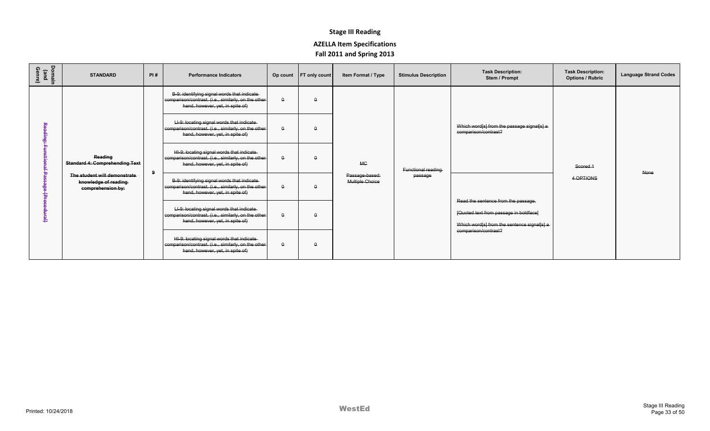| Domain<br>(and<br>Genre) | <b>STANDARD</b>                                                           | PI# | <b>Performance Indicators</b>                                                                                                           |              | Op count FT only count | Item Format / Type                       | <b>Stimulus Description</b> | <b>Task Description:</b><br>Stem / Prompt                                             | <b>Task Description:</b><br><b>Options / Rubric</b> | <b>Language Strand Codes</b> |
|--------------------------|---------------------------------------------------------------------------|-----|-----------------------------------------------------------------------------------------------------------------------------------------|--------------|------------------------|------------------------------------------|-----------------------------|---------------------------------------------------------------------------------------|-----------------------------------------------------|------------------------------|
|                          |                                                                           |     | B-9: identifying signal words that indicate-<br>comparison/contrast. (i.e., similarly, on the other<br>hand, however, yet, in spite of) | $\mathsf{o}$ | $\Omega$               |                                          |                             |                                                                                       |                                                     |                              |
|                          |                                                                           |     | LI-9: locating signal words that indicate-<br>comparison/contrast. (i.e., similarly, on the other<br>hand, however, yet, in spite of)   | $\Omega$     | $\Omega$               |                                          |                             | Which word[s] from the passage signal[s] a<br>comparison/contrast?                    |                                                     |                              |
|                          | Reading<br><b>Standard 4: Comprehending Text</b>                          | 9   | HI-9: locating signal words that indicate<br>comparison/contrast. (i.e., similarly, on the other<br>hand, however, yet, in spite of)    | $\theta$     |                        | <b>MC</b>                                | Functional reading          |                                                                                       | Scored 1                                            | None                         |
|                          | The student will demonstrate<br>knowledge of reading<br>comprehension by: |     | B-9: identifying signal words that indicate-<br>comparison/contrast. (i.e., similarly, on the other<br>hand, however, yet, in spite of) | $\theta$     |                        | Passage-based:<br><b>Multiple Choice</b> | passage                     | Read the sentence from the passage.                                                   | 4 OPTIONS                                           |                              |
|                          |                                                                           |     | LI-9: locating signal words that indicate-<br>comparison/contrast. (i.e., similarly, on the other  <br>hand, however, yet, in spite of) | $\theta$     |                        |                                          |                             | [Quoted text from passage in boldface]<br>Which word[s] from the sentence signal[s] a |                                                     |                              |
|                          |                                                                           |     | HI-9: locating signal words that indicate-<br>comparison/contrast. (i.e., similarly, on the other-<br>hand, however, yet, in spite of)  | $\theta$     |                        |                                          |                             | comparison/contrast?                                                                  |                                                     |                              |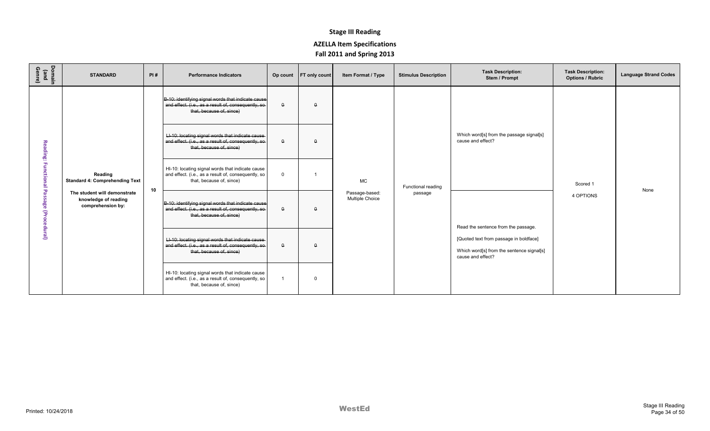| Domain<br>(and<br>Genre) | <b>STANDARD</b>                                                           | PI# | <b>Performance Indicators</b>                                                                                                          |              | Op count FT only count | <b>Item Format / Type</b>         | <b>Stimulus Description</b> | <b>Task Description:</b><br>Stem / Prompt                                                                | <b>Task Description:</b><br><b>Options / Rubric</b> | <b>Language Strand Codes</b> |
|--------------------------|---------------------------------------------------------------------------|-----|----------------------------------------------------------------------------------------------------------------------------------------|--------------|------------------------|-----------------------------------|-----------------------------|----------------------------------------------------------------------------------------------------------|-----------------------------------------------------|------------------------------|
|                          |                                                                           |     | B-10: identifying signal words that indicate cause<br>and effect. (i.e., as a result of, consequently, so-<br>that, because of, since) | $\theta$     | $\theta$               |                                   |                             |                                                                                                          |                                                     |                              |
| Reading:                 |                                                                           |     | LI-10: locating signal words that indicate cause<br>and effect. (i.e., as a result of, consequently, so-<br>that, because of, since)   | $\Omega$     | $\Omega$               |                                   |                             | Which word[s] from the passage signal[s]<br>cause and effect?                                            |                                                     |                              |
| ã<br>etio                | Reading<br><b>Standard 4: Comprehending Text</b>                          | 10  | HI-10: locating signal words that indicate cause<br>and effect. (i.e., as a result of, consequently, so<br>that, because of, since)    | $\mathbf{0}$ |                        | <b>MC</b>                         | Functional reading          |                                                                                                          | Scored 1                                            | None                         |
| 8e<br>edural)            | The student will demonstrate<br>knowledge of reading<br>comprehension by: |     | B-10: identifying signal words that indicate cause<br>and effect. (i.e., as a result of, consequently, so-<br>that, because of, since) | $\Omega$     | $\Omega$               | Passage-based:<br>Multiple Choice | passage                     | Read the sentence from the passage.                                                                      | 4 OPTIONS                                           |                              |
|                          |                                                                           |     | LI-10: locating signal words that indicate cause<br>and effect. (i.e., as a result of, consequently, so<br>that, because of, since)    | $\theta$     | $\theta$               |                                   |                             | [Quoted text from passage in boldface]<br>Which word[s] from the sentence signal[s]<br>cause and effect? |                                                     |                              |
|                          |                                                                           |     | HI-10: locating signal words that indicate cause<br>and effect. (i.e., as a result of, consequently, so<br>that, because of, since)    |              | $\Omega$               |                                   |                             |                                                                                                          |                                                     |                              |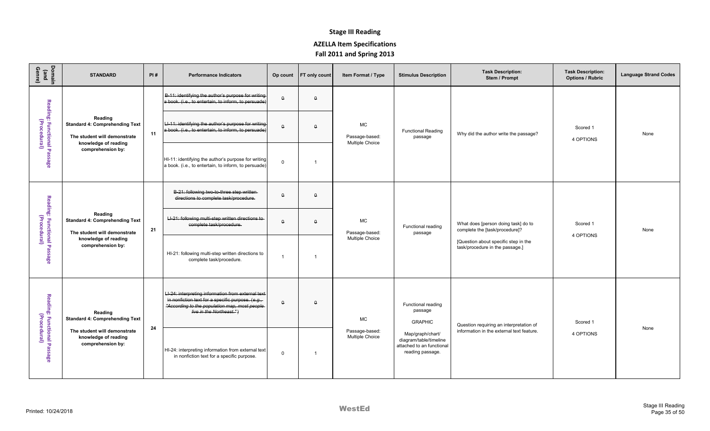| Domain<br>(and<br>Genre)                    | <b>STANDARD</b>                                                                                          | PI# | <b>Performance Indicators</b>                                                                                                                                                          | Op count | <b>FT only count</b> | Item Format / Type                             | <b>Stimulus Description</b>                                                                 | <b>Task Description:</b><br>Stem / Prompt                               | <b>Task Description:</b><br><b>Options / Rubric</b> | <b>Language Strand Codes</b> |
|---------------------------------------------|----------------------------------------------------------------------------------------------------------|-----|----------------------------------------------------------------------------------------------------------------------------------------------------------------------------------------|----------|----------------------|------------------------------------------------|---------------------------------------------------------------------------------------------|-------------------------------------------------------------------------|-----------------------------------------------------|------------------------------|
|                                             |                                                                                                          |     | B-11: identifying the author's purpose for writing<br>a book. (i.e., to entertain, to inform, to persuade)                                                                             | $\theta$ | $\theta$             |                                                |                                                                                             |                                                                         |                                                     |                              |
| Reading: Functional Passage<br>(Procedural) | Reading<br><b>Standard 4: Comprehending Text</b><br>The student will demonstrate<br>knowledge of reading | 11  | LI-11: identifying the author's purpose for writing<br>a book. (i.e., to entertain, to inform, to persuade)                                                                            | $\Omega$ | $\Omega$             | MC<br>Passage-based:<br><b>Multiple Choice</b> | <b>Functional Reading</b><br>passage                                                        | Why did the author write the passage?                                   | Scored 1<br>4 OPTIONS                               | None                         |
|                                             | comprehension by:                                                                                        |     | HI-11: identifying the author's purpose for writing<br>a book. (i.e., to entertain, to inform, to persuade)                                                                            | $\Omega$ |                      |                                                |                                                                                             |                                                                         |                                                     |                              |
|                                             |                                                                                                          |     | B-21: following two-to-three step written<br>directions to complete task/procedure.                                                                                                    | $\theta$ | $\theta$             |                                                |                                                                                             |                                                                         |                                                     |                              |
|                                             | Reading<br><b>Standard 4: Comprehending Text</b><br>The student will demonstrate                         | 21  | LI-21: following multi-step written directions to-<br>complete task/procedure.                                                                                                         | $\Omega$ | $\Omega$             | <b>MC</b><br>Passage-based:                    | Functional reading<br>passage                                                               | What does [person doing task] do to<br>complete the [task/procedure]?   | Scored 1                                            | None                         |
| Reading: Functional Passage<br>(Procedural) | knowledge of reading<br>comprehension by:                                                                |     | HI-21: following multi-step written directions to<br>complete task/procedure.                                                                                                          |          |                      | Multiple Choice                                |                                                                                             | [Question about specific step in the<br>task/procedure in the passage.] | 4 OPTIONS                                           |                              |
|                                             | Reading<br><b>Standard 4: Comprehending Text</b>                                                         |     | LI-24: interpreting information from external text<br>in nonfiction text for a specific purpose. $(e.g.,$<br>"According to the population map, most people<br>live in the Northeast.") | $\theta$ | $\theta$             | MC                                             | Functional reading<br>passage<br><b>GRAPHIC</b>                                             | Question requiring an interpretation of                                 | Scored 1                                            |                              |
| Reading: Functional Passage<br>(Procedural) | The student will demonstrate<br>knowledge of reading<br>comprehension by:                                | 24  | HI-24: interpreting information from external text<br>in nonfiction text for a specific purpose.                                                                                       | $\Omega$ | $\overline{1}$       | Passage-based:<br>Multiple Choice              | Map/graph/chart/<br>diagram/table/timeline<br>attached to an functional<br>reading passage. | information in the external text feature.                               | 4 OPTIONS                                           | None                         |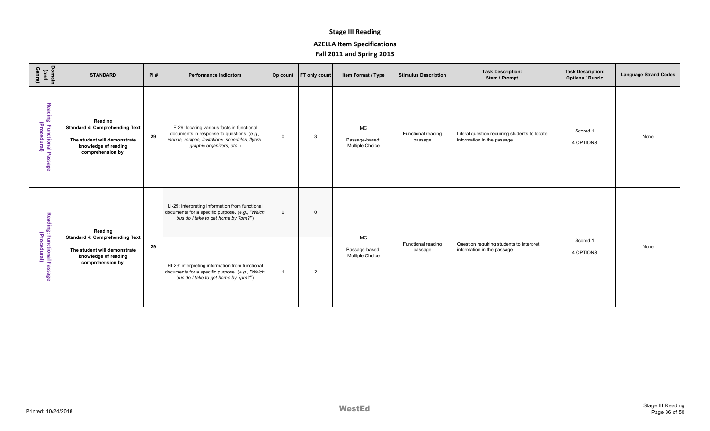| Domain<br>(and<br>Genre)                    | <b>STANDARD</b>                                                                                                               | PI# | <b>Performance Indicators</b>                                                                                                                                            |                | Op count   FT only count | Item Format / Type                                    | <b>Stimulus Description</b>   | <b>Task Description:</b><br>Stem / Prompt                                    | <b>Task Description:</b><br><b>Options / Rubric</b> | <b>Language Strand Codes</b> |
|---------------------------------------------|-------------------------------------------------------------------------------------------------------------------------------|-----|--------------------------------------------------------------------------------------------------------------------------------------------------------------------------|----------------|--------------------------|-------------------------------------------------------|-------------------------------|------------------------------------------------------------------------------|-----------------------------------------------------|------------------------------|
| Reading: Functional Passage<br>(Procedural) | Reading<br><b>Standard 4: Comprehending Text</b><br>The student will demonstrate<br>knowledge of reading<br>comprehension by: | 29  | E-29: locating various facts in functional<br>documents in response to questions. (e.g.,<br>menus, recipes, invitations, schedules, flyers,<br>graphic organizers, etc.) | $\mathbf 0$    | -3                       | <b>MC</b><br>Passage-based:<br>Multiple Choice        | Functional reading<br>passage | Literal question requiring students to locate<br>information in the passage. | Scored 1<br>4 OPTIONS                               | None                         |
|                                             | Reading                                                                                                                       |     | LI-29: interpreting information from functional<br>documents for a specific purpose. (e.g., "Which-<br>bus do I take to get home by 7pm?")                               | $\theta$       | $\Omega$                 |                                                       |                               |                                                                              |                                                     |                              |
| Reading: Functional Passage<br>(Procedural) | <b>Standard 4: Comprehending Text</b><br>The student will demonstrate<br>knowledge of reading<br>comprehension by:            | 29  | HI-29: interpreting information from functional<br>documents for a specific purpose. (e.g., "Which<br>bus do I take to get home by 7pm?")                                | $\overline{1}$ | $\overline{2}$           | <b>MC</b><br>Passage-based:<br><b>Multiple Choice</b> | Functional reading<br>passage | Question requiring students to interpret<br>information in the passage.      | Scored 1<br>4 OPTIONS                               | None                         |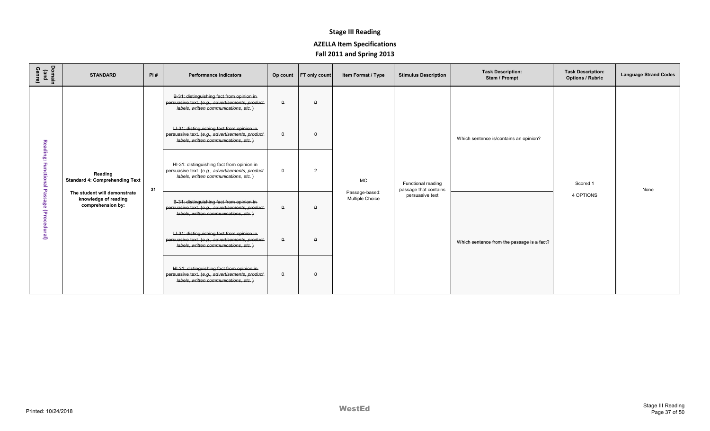| Domain<br>(and<br>Genre) | <b>STANDARD</b>                                                           | PI# | <b>Performance Indicators</b>                                                                                                           |             | Op count FT only count | Item Format / Type                | <b>Stimulus Description</b>                 | <b>Task Description:</b><br>Stem / Prompt  | <b>Task Description:</b><br><b>Options / Rubric</b> | <b>Language Strand Codes</b> |
|--------------------------|---------------------------------------------------------------------------|-----|-----------------------------------------------------------------------------------------------------------------------------------------|-------------|------------------------|-----------------------------------|---------------------------------------------|--------------------------------------------|-----------------------------------------------------|------------------------------|
|                          |                                                                           |     | B-31: distinguishing fact from opinion in-<br>persuasive text. (e.g., advertisements, product-<br>labels, written communications, etc.) | $\theta$    | $\theta$               |                                   |                                             |                                            |                                                     |                              |
| Reading:                 |                                                                           |     | LI-31: distinguishing fact from opinion in<br>persuasive text. (e.g., advertisements, product-<br>labels, written communications, etc.) | $\theta$    | $\Omega$               |                                   |                                             | Which sentence is/contains an opinion?     |                                                     |                              |
| g<br>ction               | Reading<br><b>Standard 4: Comprehending Text</b>                          | 31  | HI-31: distinguishing fact from opinion in<br>persuasive text. (e.g., advertisements, product<br>labels, written communications, etc.)  | $\mathbf 0$ | $\overline{2}$         | <b>MC</b>                         | Functional reading<br>passage that contains |                                            | Scored 1                                            | None                         |
| ႙ၟ<br>नि<br>पट           | The student will demonstrate<br>knowledge of reading<br>comprehension by: |     | B-31: distinguishing fact from opinion in-<br>persuasive text. (e.g., advertisements, product-<br>labels, written communications, etc.) | $\theta$    | $\Omega$               | Passage-based:<br>Multiple Choice | persuasive text                             |                                            | 4 OPTIONS                                           |                              |
| edural)                  |                                                                           |     | LI-31: distinguishing fact from opinion in<br>persuasive text. (e.g., advertisements, product-<br>labels, written communications, etc.) | $\mathsf 0$ | $\Omega$               |                                   |                                             | Which sentence from the passage is a fact? |                                                     |                              |
|                          |                                                                           |     | HI-31: distinguishing fact from opinion in<br>persuasive text. (e.g., advertisements, product-<br>labels, written communications, etc.) | $\theta$    | $\Omega$               |                                   |                                             |                                            |                                                     |                              |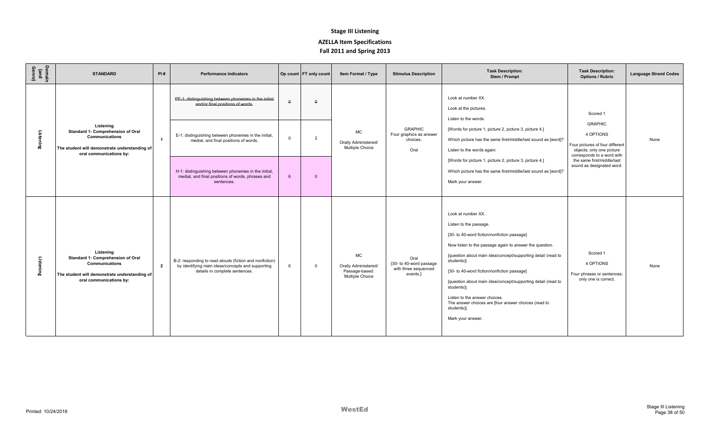| Domain<br>(and<br>Genre) | <b>STANDARD</b>                                                                                                                                     | PI#            | <b>Performance Indicators</b>                                                                                                                                                                                                                      |                      | Op count   FT only count | Item Format / Type                                                     | <b>Stimulus Description</b>                                         | <b>Task Description:</b><br>Stem / Prompt                                                                                                                                                                                                                                                                                                                                                                                                                                                      | <b>Task Description:</b><br><b>Options / Rubric</b>                                                                                                                                              | <b>Language Strand Codes</b> |
|--------------------------|-----------------------------------------------------------------------------------------------------------------------------------------------------|----------------|----------------------------------------------------------------------------------------------------------------------------------------------------------------------------------------------------------------------------------------------------|----------------------|--------------------------|------------------------------------------------------------------------|---------------------------------------------------------------------|------------------------------------------------------------------------------------------------------------------------------------------------------------------------------------------------------------------------------------------------------------------------------------------------------------------------------------------------------------------------------------------------------------------------------------------------------------------------------------------------|--------------------------------------------------------------------------------------------------------------------------------------------------------------------------------------------------|------------------------------|
| Listening                | Listening<br>Standard 1: Comprehension of Oral<br>Communications<br>The student will demonstrate understanding of<br>oral communications by:        | $\overline{1}$ | PE-1: distinguishing between phonemes in the initial-<br>and/or final positions of words.<br>E-1: distinguishing between phonemes in the initial,<br>medial, and final positions of words.<br>H-1: distinguishing between phonemes in the initial, | $\Omega$<br>$\Omega$ | Δ<br>$\overline{2}$      | <b>MC</b><br>Orally Administered/<br>Multiple Choice                   | <b>GRAPHIC</b><br>Four graphics as answer<br>choices.<br>Oral       | Look at number XX.<br>Look at the pictures.<br>Listen to the words:<br>[Words for picture 1, picture 2, picture 3, picture 4.]<br>Which picture has the same first/middle/last sound as [word]?<br>Listen to the words again:<br>[Words for picture 1, picture 2, picture 3, picture 4.]<br>Which picture has the same first/middle/last sound as [word]?                                                                                                                                      | Scored 1<br><b>GRAPHIC</b><br>4 OPTIONS<br>Four pictures of four different<br>objects; only one picture<br>corresponds to a word with<br>the same first/middle/last<br>sound as designated word. | None                         |
|                          |                                                                                                                                                     |                | medial, and final positions of words, phrases and<br>sentences.                                                                                                                                                                                    |                      | $\Omega$                 |                                                                        |                                                                     | Mark your answer.                                                                                                                                                                                                                                                                                                                                                                                                                                                                              |                                                                                                                                                                                                  |                              |
| Listening                | Listening<br>Standard 1: Comprehension of Oral<br><b>Communications</b><br>The student will demonstrate understanding of<br>oral communications by: | $\overline{2}$ | B-2: responding to read alouds (fiction and nonfiction)<br>by identifying main ideas/concepts and supporting<br>details in complete sentences.                                                                                                     | $\epsilon$           | $\Omega$                 | <b>MC</b><br>Orally Administered/<br>Passage-based:<br>Multiple Choice | Oral<br>[30- to 40-word passage<br>with three sequenced<br>events.1 | Look at number XX.<br>Listen to the passage.<br>[30- to 40-word fiction/nonfiction passage]<br>Now listen to the passage again to answer the question.<br>[question about main idea/concept/supporting detail (read to<br>students)]<br>[30- to 40-word fiction/nonfiction passage]<br>[question about main idea/concept/supporting detail (read to<br>students)]<br>Listen to the answer choices.<br>The answer choices are [four answer choices (read to<br>students)].<br>Mark your answer. | Scored 1<br>4 OPTIONS<br>Four phrases or sentences;<br>only one is correct.                                                                                                                      | None                         |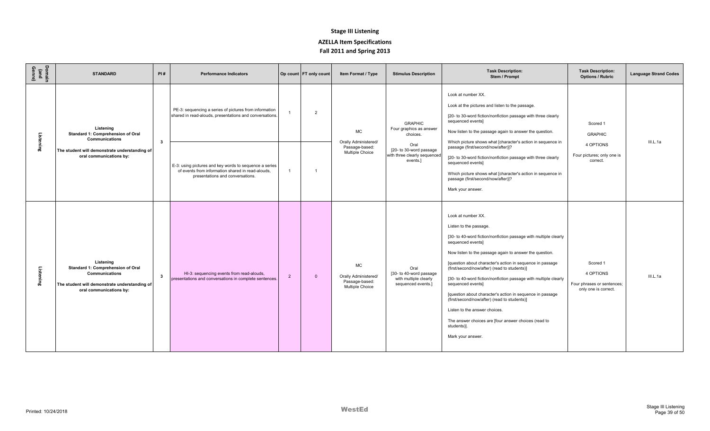| Domain<br>(and<br>Genre) | <b>STANDARD</b>                                                                                                                                     | PI#          | <b>Performance Indicators</b>                                                                                                                   |                | Op count   FT only count | Item Format / Type                                                     | <b>Stimulus Description</b>                                                    | <b>Task Description:</b><br>Stem / Prompt                                                                                                                                                                                                                                                                                                                                                                                                                                                                                                                                                                                                        | <b>Task Description:</b><br><b>Options / Rubric</b>                         | <b>Language Strand Codes</b> |
|--------------------------|-----------------------------------------------------------------------------------------------------------------------------------------------------|--------------|-------------------------------------------------------------------------------------------------------------------------------------------------|----------------|--------------------------|------------------------------------------------------------------------|--------------------------------------------------------------------------------|--------------------------------------------------------------------------------------------------------------------------------------------------------------------------------------------------------------------------------------------------------------------------------------------------------------------------------------------------------------------------------------------------------------------------------------------------------------------------------------------------------------------------------------------------------------------------------------------------------------------------------------------------|-----------------------------------------------------------------------------|------------------------------|
| Listening                | Listening<br>Standard 1: Comprehension of Oral<br><b>Communications</b>                                                                             | $\mathbf{3}$ | PE-3: sequencing a series of pictures from information<br>shared in read-alouds, presentations and conversations.                               |                | $\overline{2}$           | <b>MC</b><br>Orally Administered/                                      | <b>GRAPHIC</b><br>Four graphics as answer<br>choices.<br>Oral                  | Look at number XX.<br>Look at the pictures and listen to the passage.<br>[20- to 30-word fiction/nonfiction passage with three clearly<br>sequenced events]<br>Now listen to the passage again to answer the question.<br>Which picture shows what [character's action in sequence in                                                                                                                                                                                                                                                                                                                                                            | Scored 1<br><b>GRAPHIC</b><br>4 OPTIONS                                     | III.L.1a                     |
|                          | The student will demonstrate understanding of<br>oral communications by:                                                                            |              | E-3: using pictures and key words to sequence a series<br>of events from information shared in read-alouds.<br>presentations and conversations. |                |                          | Passage-based:<br>Multiple Choice                                      | [20- to 30-word passage<br>with three clearly sequenced<br>events.]            | passage (first/second/now/after)]?<br>[20- to 30-word fiction/nonfiction passage with three clearly<br>sequenced events]<br>Which picture shows what [character's action in sequence in<br>passage (first/second/now/after)]?<br>Mark your answer.                                                                                                                                                                                                                                                                                                                                                                                               | Four pictures; only one is<br>correct.                                      |                              |
| Listening                | Listening<br>Standard 1: Comprehension of Oral<br><b>Communications</b><br>The student will demonstrate understanding of<br>oral communications by: | 3            | HI-3: sequencing events from read-alouds,<br>presentations and conversations in complete sentences.                                             | $\overline{2}$ | $\Omega$                 | <b>MC</b><br>Orally Administered/<br>Passage-based:<br>Multiple Choice | Oral<br>[30- to 40-word passage<br>with multiple clearly<br>sequenced events.] | Look at number XX.<br>Listen to the passage.<br>[30- to 40-word fiction/nonfiction passage with multiple clearly<br>sequenced events]<br>Now listen to the passage again to answer the question.<br>[question about character's action in sequence in passage<br>(first/second/now/after) (read to students)]<br>[30- to 40-word fiction/nonfiction passage with multiple clearly<br>sequenced events]<br>[question about character's action in sequence in passage<br>(first/second/now/after) (read to students)]<br>Listen to the answer choices.<br>The answer choices are [four answer choices (read to<br>students)].<br>Mark your answer. | Scored 1<br>4 OPTIONS<br>Four phrases or sentences;<br>only one is correct. | III.L.1a                     |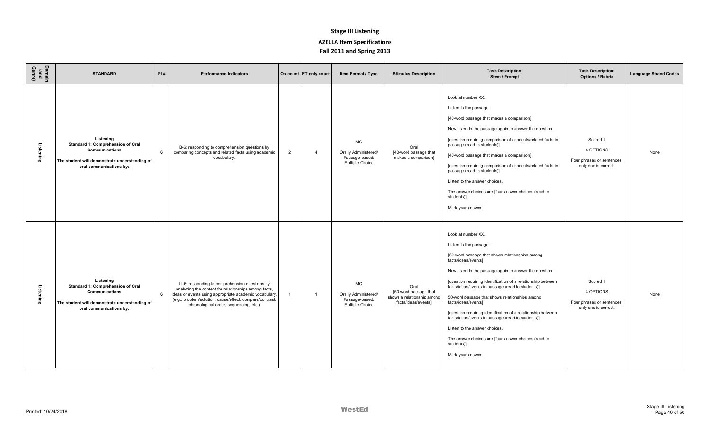| Domain<br>(and<br>Genre) | <b>STANDARD</b>                                                                                                                                     | PI# | <b>Performance Indicators</b>                                                                                                                                                                                                                                          |                | Op count FT only count | Item Format / Type                                                     | <b>Stimulus Description</b>                                                        | <b>Task Description:</b><br>Stem / Prompt                                                                                                                                                                                                                                                                                                                                                                                                                                                                                                                                                                                         | <b>Task Description:</b><br><b>Options / Rubric</b>                         | <b>Language Strand Codes</b> |
|--------------------------|-----------------------------------------------------------------------------------------------------------------------------------------------------|-----|------------------------------------------------------------------------------------------------------------------------------------------------------------------------------------------------------------------------------------------------------------------------|----------------|------------------------|------------------------------------------------------------------------|------------------------------------------------------------------------------------|-----------------------------------------------------------------------------------------------------------------------------------------------------------------------------------------------------------------------------------------------------------------------------------------------------------------------------------------------------------------------------------------------------------------------------------------------------------------------------------------------------------------------------------------------------------------------------------------------------------------------------------|-----------------------------------------------------------------------------|------------------------------|
| Listening                | Listening<br>Standard 1: Comprehension of Oral<br><b>Communications</b><br>The student will demonstrate understanding of<br>oral communications by: | 6   | B-6: responding to comprehension questions by<br>comparing concepts and related facts using academic<br>vocabulary.                                                                                                                                                    | $\overline{2}$ | 4                      | MC<br>Orally Administered/<br>Passage-based:<br>Multiple Choice        | Oral<br>[40-word passage that<br>makes a comparison]                               | Look at number XX.<br>Listen to the passage.<br>[40-word passage that makes a comparison]<br>Now listen to the passage again to answer the question.<br>[question requiring comparison of concepts/related facts in<br>passage (read to students)]<br>[40-word passage that makes a comparison]<br>[question requiring comparison of concepts/related facts in<br>passage (read to students)]<br>Listen to the answer choices.<br>The answer choices are [four answer choices (read to<br>students)].<br>Mark your answer.                                                                                                        | Scored 1<br>4 OPTIONS<br>Four phrases or sentences;<br>only one is correct. | None                         |
| Listening                | Listening<br>Standard 1: Comprehension of Oral<br>Communications<br>The student will demonstrate understanding of<br>oral communications by:        | 6   | LI-6: responding to comprehension questions by<br>analyzing the content for relationships among facts,<br>ideas or events using appropriate academic vocabulary.<br>(e.g., problem/solution, cause/effect, compare/contrast,<br>chronological order, sequencing, etc.) |                | -1                     | <b>MC</b><br>Orally Administered/<br>Passage-based:<br>Multiple Choice | Oral<br>[50-word passage that<br>shows a relationship among<br>facts/ideas/events] | Look at number XX.<br>Listen to the passage.<br>[50-word passage that shows relationships among<br>facts/ideas/events]<br>Now listen to the passage again to answer the question.<br>[question requiring identification of a relationship between<br>facts/ideas/events in passage (read to students)]<br>50-word passage that shows relationships among<br>facts/ideas/events]<br>[question requiring identification of a relationship between<br>facts/ideas/events in passage (read to students)]<br>Listen to the answer choices.<br>The answer choices are [four answer choices (read to<br>students)].<br>Mark your answer. | Scored 1<br>4 OPTIONS<br>Four phrases or sentences;<br>only one is correct. | None                         |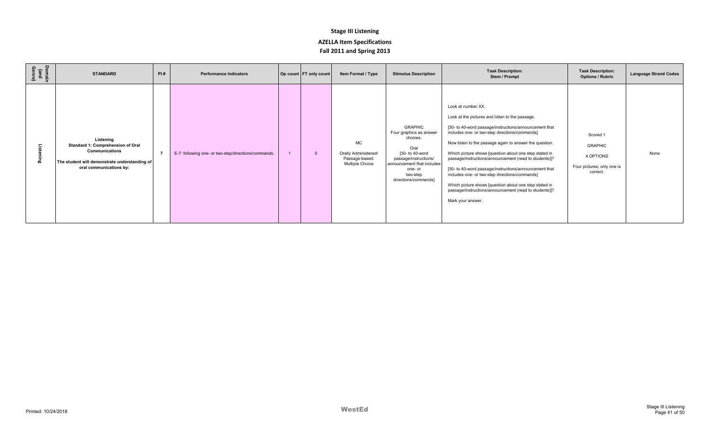| Domain<br>(and<br>Crach<br>$\Omega$ | <b>STANDARD</b>                                                                                                                                     | PI#            | <b>Performance Indicators</b>                        | Op count FT only count | Item Format / Type                                              | <b>Stimulus Description</b>                                                                                                                                                            | <b>Task Description:</b><br>Stem / Prompt                                                                                                                                                                                                                                                                                                                                                                                                                                                                                                                                                                             | <b>Task Description:</b><br><b>Options / Rubric</b>                               | <b>Language Strand Codes</b> |
|-------------------------------------|-----------------------------------------------------------------------------------------------------------------------------------------------------|----------------|------------------------------------------------------|------------------------|-----------------------------------------------------------------|----------------------------------------------------------------------------------------------------------------------------------------------------------------------------------------|-----------------------------------------------------------------------------------------------------------------------------------------------------------------------------------------------------------------------------------------------------------------------------------------------------------------------------------------------------------------------------------------------------------------------------------------------------------------------------------------------------------------------------------------------------------------------------------------------------------------------|-----------------------------------------------------------------------------------|------------------------------|
| 品                                   | Listening<br>Standard 1: Comprehension of Oral<br><b>Communications</b><br>The student will demonstrate understanding of<br>oral communications by: | $\overline{ }$ | E-7: following one- or two-step/directions/commands. | $\Omega$               | MC<br>Orally Administered/<br>Passage-based:<br>Multiple Choice | <b>GRAPHIC</b><br>Four graphics as answer<br>choices.<br>Oral<br>[30- to 40-word<br>passage/instructions/<br>announcement that includes<br>one- or<br>two-step<br>directions/commands] | Look at number XX.<br>Look at the pictures and listen to the passage.<br>[30- to 40-word passage/instructions/announcement that<br>includes one- or two-step directions/commands]<br>Now listen to the passage again to answer the question.<br>Which picture shows [question about one step stated in<br>passage/instructions/announcement (read to students)]?<br>[30- to 40-word passage/instructions/announcement that<br>includes one- or two-step directions/commands]<br>Which picture shows [question about one step stated in<br>passage/instructions/announcement (read to students)]?<br>Mark your answer. | Scored 1<br><b>GRAPHIC</b><br>4 OPTIONS<br>Four pictures; only one is<br>correct. | None                         |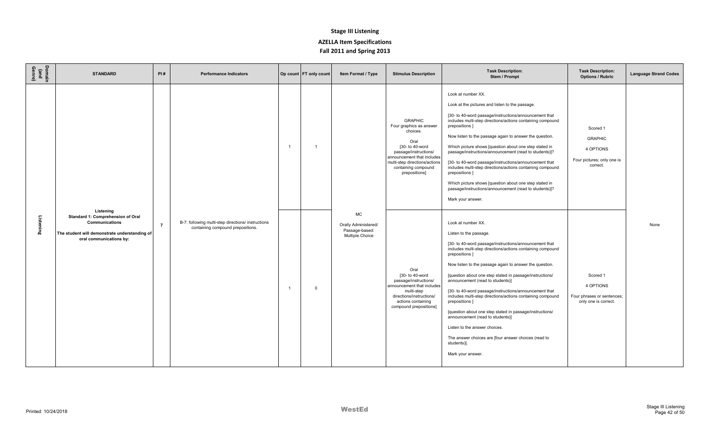| Domain<br>(and<br>Genre) | <b>STANDARD</b>                                                                                                                                     | PI#            | <b>Performance Indicators</b>                                                          |                | Op count FT only count | Item Format / Type                                                     | <b>Stimulus Description</b>                                                                                                                                                                                      | <b>Task Description:</b><br>Stem / Prompt                                                                                                                                                                                                                                                                                                                                                                                                                                                                                                                                                                                                                                                                                | <b>Task Description:</b><br><b>Options / Rubric</b>                               | <b>Language Strand Codes</b> |
|--------------------------|-----------------------------------------------------------------------------------------------------------------------------------------------------|----------------|----------------------------------------------------------------------------------------|----------------|------------------------|------------------------------------------------------------------------|------------------------------------------------------------------------------------------------------------------------------------------------------------------------------------------------------------------|--------------------------------------------------------------------------------------------------------------------------------------------------------------------------------------------------------------------------------------------------------------------------------------------------------------------------------------------------------------------------------------------------------------------------------------------------------------------------------------------------------------------------------------------------------------------------------------------------------------------------------------------------------------------------------------------------------------------------|-----------------------------------------------------------------------------------|------------------------------|
|                          |                                                                                                                                                     |                |                                                                                        |                |                        |                                                                        | <b>GRAPHIC</b><br>Four graphics as answer<br>choices.<br>Oral<br>[30- to 40-word<br>passage/instructions/<br>announcement that includes<br>multi-step directions/actions<br>containing compound<br>prepositions] | Look at number XX.<br>Look at the pictures and listen to the passage.<br>[30- to 40-word passage/instructions/announcement that<br>includes multi-step directions/actions containing compound<br>prepositions ]<br>Now listen to the passage again to answer the question.<br>Which picture shows [question about one step stated in<br>passage/instructions/announcement (read to students)]?<br>[30- to 40-word passage/instructions/announcement that<br>includes multi-step directions/actions containing compound<br>prepositions ]<br>Which picture shows [question about one step stated in<br>passage/instructions/announcement (read to students)]?<br>Mark your answer.                                        | Scored 1<br><b>GRAPHIC</b><br>4 OPTIONS<br>Four pictures; only one is<br>correct. |                              |
| Listening                | Listening<br>Standard 1: Comprehension of Oral<br><b>Communications</b><br>The student will demonstrate understanding of<br>oral communications by: | $\overline{7}$ | B-7: following multi-step directions/ instructions<br>containing compound prepositions | $\overline{1}$ | $\Omega$               | <b>MC</b><br>Orally Administered/<br>Passage-based:<br>Multiple Choice | Oral<br>[30- to 40-word<br>passage/instructions/<br>announcement that includes<br>multi-step<br>directions/instructions/<br>actions containing<br>compound prepositions]                                         | Look at number XX.<br>Listen to the passage.<br>[30- to 40-word passage/instructions/announcement that<br>includes multi-step directions/actions containing compound<br>prepositions ]<br>Now listen to the passage again to answer the question.<br>[question about one step stated in passage/instructions/<br>announcement (read to students)]<br>[30- to 40-word passage/instructions/announcement that<br>includes multi-step directions/actions containing compound<br>prepositions ]<br>[question about one step stated in passage/instructions/<br>announcement (read to students)]<br>Listen to the answer choices.<br>The answer choices are [four answer choices (read to<br>students)].<br>Mark your answer. | Scored 1<br>4 OPTIONS<br>Four phrases or sentences;<br>only one is correct.       | None                         |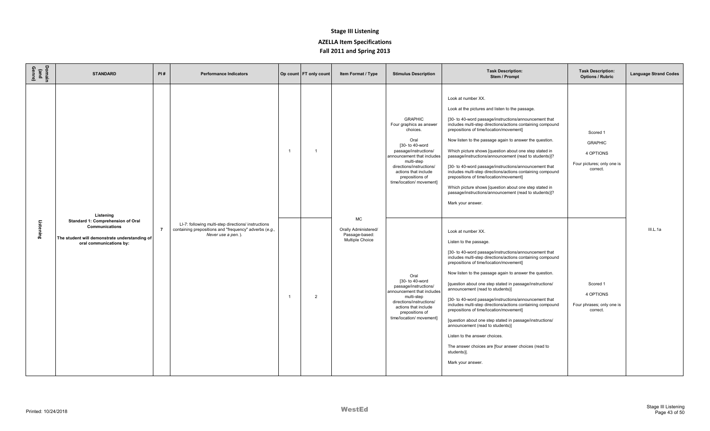| Domain<br>(and<br>Genre) | <b>STANDARD</b>                                                                                                                                     | PI#            | <b>Performance Indicators</b>                                                                                                       |                | Op count   FT only count | Item Format / Type                                                     | <b>Stimulus Description</b>                                                                                                                                                                                                                              | <b>Task Description:</b><br>Stem / Prompt                                                                                                                                                                                                                                                                                                                                                                                                                                                                                                                                                                                                                                                                                                                                                                                                                                                                                                              | <b>Task Description:</b><br><b>Options / Rubric</b>                               | <b>Language Strand Codes</b> |
|--------------------------|-----------------------------------------------------------------------------------------------------------------------------------------------------|----------------|-------------------------------------------------------------------------------------------------------------------------------------|----------------|--------------------------|------------------------------------------------------------------------|----------------------------------------------------------------------------------------------------------------------------------------------------------------------------------------------------------------------------------------------------------|--------------------------------------------------------------------------------------------------------------------------------------------------------------------------------------------------------------------------------------------------------------------------------------------------------------------------------------------------------------------------------------------------------------------------------------------------------------------------------------------------------------------------------------------------------------------------------------------------------------------------------------------------------------------------------------------------------------------------------------------------------------------------------------------------------------------------------------------------------------------------------------------------------------------------------------------------------|-----------------------------------------------------------------------------------|------------------------------|
| Listening                | Listening<br>Standard 1: Comprehension of Oral<br><b>Communications</b><br>The student will demonstrate understanding of<br>oral communications by: | $\overline{7}$ | LI-7: following multi-step directions/ instructions<br>containing prepositions and "frequency" adverbs (e.g.,<br>Never use a pen.). | $\overline{1}$ |                          | <b>MC</b><br>Orally Administered/<br>Passage-based:<br>Multiple Choice | <b>GRAPHIC</b><br>Four graphics as answer<br>choices.<br>Oral<br>[30- to 40-word<br>passage/instructions/<br>announcement that includes<br>multi-step<br>directions/instructions/<br>actions that include<br>prepositions of<br>time/location/ movement] | Look at number XX.<br>Look at the pictures and listen to the passage.<br>[30- to 40-word passage/instructions/announcement that<br>includes multi-step directions/actions containing compound<br>prepositions of time/location/movement]<br>Now listen to the passage again to answer the question.<br>Which picture shows [question about one step stated in<br>passage/instructions/announcement (read to students)]?<br>[30- to 40-word passage/instructions/announcement that<br>includes multi-step directions/actions containing compound<br>prepositions of time/location/movement]<br>Which picture shows [question about one step stated in<br>passage/instructions/announcement (read to students)]?<br>Mark your answer.<br>Look at number XX.<br>Listen to the passage.<br>[30- to 40-word passage/instructions/announcement that<br>includes multi-step directions/actions containing compound<br>prepositions of time/location/movement] | Scored 1<br><b>GRAPHIC</b><br>4 OPTIONS<br>Four pictures; only one is<br>correct. | III.L.1a                     |
|                          |                                                                                                                                                     |                |                                                                                                                                     | $\overline{1}$ | $\overline{2}$           |                                                                        | Oral<br>[30- to 40-word<br>passage/instructions/<br>announcement that includes<br>multi-step<br>directions/instructions/<br>actions that include<br>prepositions of<br>time/location/ movement]                                                          | Now listen to the passage again to answer the question.<br>[question about one step stated in passage/instructions/<br>announcement (read to students)]<br>[30- to 40-word passage/instructions/announcement that<br>includes multi-step directions/actions containing compound<br>prepositions of time/location/movement]<br>[question about one step stated in passage/instructions/<br>announcement (read to students)]<br>Listen to the answer choices.<br>The answer choices are [four answer choices (read to<br>students)].<br>Mark your answer.                                                                                                                                                                                                                                                                                                                                                                                                | Scored 1<br>4 OPTIONS<br>Four phrases; only one is<br>correct.                    |                              |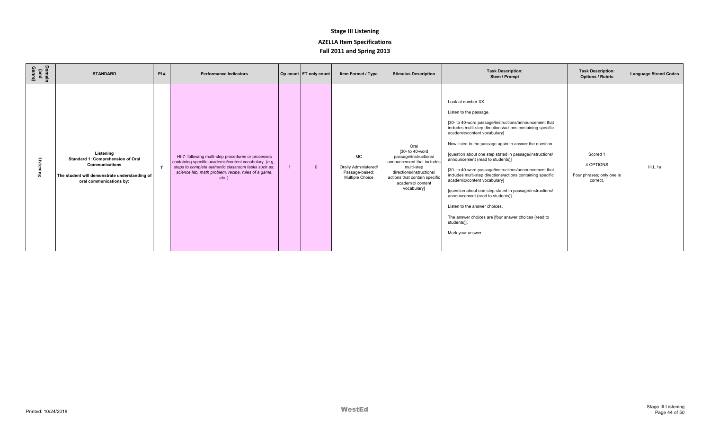| Domain<br>(and<br>Genre) | <b>STANDARD</b>                                                                                                                                     | PI# | <b>Performance Indicators</b>                                                                                                                                                                                                             | Op count FT only count | Item Format / Type                                              | <b>Stimulus Description</b>                                                                                                                                                                   | <b>Task Description:</b><br>Stem / Prompt                                                                                                                                                                                                                                                                                                                                                                                                                                                                                                                                                                                                                                                                                                            | <b>Task Description:</b><br><b>Options / Rubric</b>            | <b>Language Strand Codes</b> |
|--------------------------|-----------------------------------------------------------------------------------------------------------------------------------------------------|-----|-------------------------------------------------------------------------------------------------------------------------------------------------------------------------------------------------------------------------------------------|------------------------|-----------------------------------------------------------------|-----------------------------------------------------------------------------------------------------------------------------------------------------------------------------------------------|------------------------------------------------------------------------------------------------------------------------------------------------------------------------------------------------------------------------------------------------------------------------------------------------------------------------------------------------------------------------------------------------------------------------------------------------------------------------------------------------------------------------------------------------------------------------------------------------------------------------------------------------------------------------------------------------------------------------------------------------------|----------------------------------------------------------------|------------------------------|
| ೆ<br>ering               | Listening<br>Standard 1: Comprehension of Oral<br><b>Communications</b><br>The student will demonstrate understanding of<br>oral communications by: |     | HI-7: following multi-step procedures or processes<br>containing specific academic/content vocabulary. (e.g.,<br>steps to complete authentic classroom tasks such as:<br>science lab, math problem, recipe, rules of a game,<br>$etc.$ ). |                        | MC<br>Orally Administered/<br>Passage-based:<br>Multiple Choice | Oral<br>[30- to 40-word<br>passage/instructions/<br>announcement that includes<br>multi-step<br>directions/instructions/<br>actions that contain specific<br>academic/ content<br>vocabulary] | Look at number XX.<br>Listen to the passage.<br>[30- to 40-word passage/instructions/announcement that<br>includes multi-step directions/actions containing specific<br>academic/content vocabulary]<br>Now listen to the passage again to answer the question.<br>[question about one step stated in passage/instructions/<br>announcement (read to students)]<br>[30- to 40-word passage/instructions/announcement that<br>includes multi-step directions/actions containing specific<br>academic/content vocabulary]<br>[question about one step stated in passage/instructions/<br>announcement (read to students)]<br>Listen to the answer choices.<br>The answer choices are [four answer choices (read to<br>students)].<br>Mark your answer. | Scored 1<br>4 OPTIONS<br>Four phrases; only one is<br>correct. | III.L.1a                     |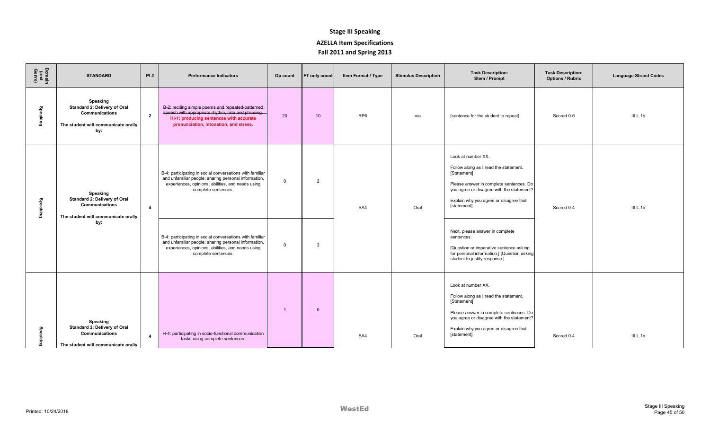| Domain<br>(and<br>Genre) | <b>STANDARD</b>                                                                                          | PI#            | <b>Performance Indicators</b>                                                                                                                                                                 | Op count       | FT only count   | Item Format / Type | <b>Stimulus Description</b> | <b>Task Description:</b><br>Stem / Prompt                                                                                                                                                                                    | <b>Task Description:</b><br><b>Options / Rubric</b> | <b>Language Strand Codes</b> |
|--------------------------|----------------------------------------------------------------------------------------------------------|----------------|-----------------------------------------------------------------------------------------------------------------------------------------------------------------------------------------------|----------------|-----------------|--------------------|-----------------------------|------------------------------------------------------------------------------------------------------------------------------------------------------------------------------------------------------------------------------|-----------------------------------------------------|------------------------------|
| Speaking                 | Speaking<br>Standard 2: Delivery of Oral<br>Communications<br>The student will communicate orally<br>by: | $\mathbf{2}$   | B-2: reciting simple poems and repeated-patterned-<br>speech with appropriate rhythm, rate and phrasing.<br>HI-1: producing sentences with accurate<br>pronunciation, intonation, and stress. | 20             | 10 <sup>1</sup> | RP <sub>6</sub>    | n/a                         | [sentence for the student to repeat]                                                                                                                                                                                         | Scored 0-6                                          | III.L.1b                     |
| <b>Speaking</b>          | Speaking<br>Standard 2: Delivery of Oral<br><b>Communications</b><br>The student will communicate orally | $\overline{4}$ | B-4: participating in social conversations with familiar<br>and unfamiliar people; sharing personal information,<br>experiences, opinions, abilities, and needs using<br>complete sentences.  | $\Omega$       | 2               | SA4                | Oral                        | Look at number XX.<br>Follow along as I read the statement.<br>[Statement]<br>Please answer in complete sentences. Do<br>you agree or disagree with the statement?<br>Explain why you agree or disagree that<br>[statement]. | Scored 0-4                                          | III.L.1b                     |
|                          | by:                                                                                                      |                | B-4: participating in social conversations with familiar<br>and unfamiliar people; sharing personal information,<br>experiences, opinions, abilities, and needs using<br>complete sentences.  | $\Omega$       | $\mathbf{3}$    |                    |                             | Next, please answer in complete<br>sentences.<br>[Question or imperative sentence asking<br>for personal information.] [Question asking<br>student to justify response.]                                                     |                                                     |                              |
| Speaking                 | Speaking<br>Standard 2: Delivery of Oral<br><b>Communications</b><br>The student will communicate orally | $\overline{4}$ | H-4: participating in socio-functional communication<br>tasks using complete sentences.                                                                                                       | $\overline{1}$ | $\Omega$        | SA4                | Oral                        | Look at number XX.<br>Follow along as I read the statement.<br>[Statement]<br>Please answer in complete sentences. Do<br>you agree or disagree with the statement?<br>Explain why you agree or disagree that<br>[statement]. | Scored 0-4                                          | III.L.1b                     |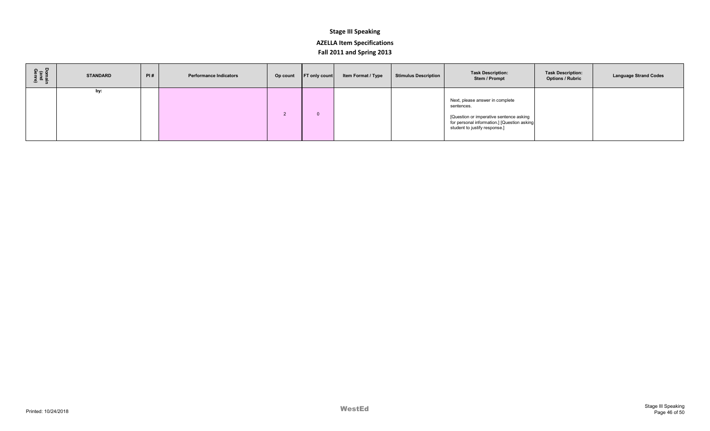| Domain<br>(and<br>Genre) | <b>STANDARD</b> | PI# | <b>Performance Indicators</b> | Op count FT only count | Item Format / Type | <b>Stimulus Description</b> | <b>Task Description:</b><br>Stem / Prompt                                                                                                                                | <b>Task Description:</b><br><b>Options / Rubric</b> | <b>Language Strand Codes</b> |
|--------------------------|-----------------|-----|-------------------------------|------------------------|--------------------|-----------------------------|--------------------------------------------------------------------------------------------------------------------------------------------------------------------------|-----------------------------------------------------|------------------------------|
|                          | by:             |     |                               |                        |                    |                             | Next, please answer in complete<br>sentences.<br>[Question or imperative sentence asking<br>for personal information.] [Question asking<br>student to justify response.] |                                                     |                              |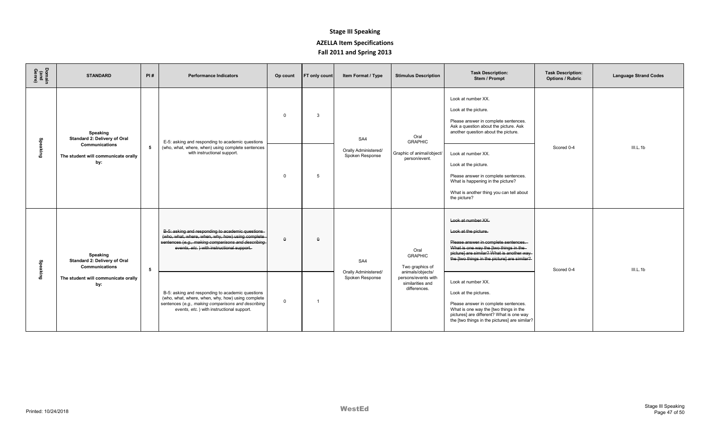| Domain<br>(and<br>Genre) | <b>STANDARD</b>                                                     | PI# | <b>Performance Indicators</b>                                                                                                                                                                            | Op count       | <b>FT only count</b> | Item Format / Type                      | <b>Stimulus Description</b>                                   | <b>Task Description:</b><br>Stem / Prompt                                                                                                                                                                                  | <b>Task Description:</b><br><b>Options / Rubric</b> | <b>Language Strand Codes</b> |
|--------------------------|---------------------------------------------------------------------|-----|----------------------------------------------------------------------------------------------------------------------------------------------------------------------------------------------------------|----------------|----------------------|-----------------------------------------|---------------------------------------------------------------|----------------------------------------------------------------------------------------------------------------------------------------------------------------------------------------------------------------------------|-----------------------------------------------------|------------------------------|
|                          | Speaking<br>Standard 2: Delivery of Oral                            |     | E-5: asking and responding to academic questions                                                                                                                                                         | $\mathbf 0$    | 3                    | SA4                                     | Oral<br><b>GRAPHIC</b>                                        | Look at number XX.<br>Look at the picture.<br>Please answer in complete sentences.<br>Ask a question about the picture. Ask<br>another question about the picture.                                                         |                                                     |                              |
| Speaking                 | <b>Communications</b><br>The student will communicate orally<br>by: | 5   | (who, what, where, when) using complete sentences<br>with instructional support.                                                                                                                         | $\Omega$       | $\overline{5}$       | Orally Administered/<br>Spoken Response | Graphic of animal/object/<br>person/event.                    | Look at number XX.<br>Look at the picture.<br>Please answer in complete sentences.<br>What is happening in the picture?<br>What is another thing you can tell about<br>the picture?                                        | Scored 0-4                                          | III.L.1b                     |
| Speaking                 | Speaking<br>Standard 2: Delivery of Oral<br><b>Communications</b>   | 5   | B-5: asking and responding to academic questions<br>(who, what, where, when, why, how) using complete<br>sentences (e.g., making comparisons and describing<br>events, etc.) with instructional support. | $\theta$       | $\theta$             | SA4<br>Orally Administered/             | Oral<br><b>GRAPHIC</b><br>Two graphics of<br>animals/objects/ | Look at number XX.<br>Look at the picture.<br>Please answer in complete sentences.<br>What is one way the [two things in the-<br>picture] are similar? What is another way<br>the [two things in the picture] are similar? | Scored 0-4                                          | III.L.1b                     |
|                          | The student will communicate orally<br>by:                          |     | B-5: asking and responding to academic questions<br>(who, what, where, when, why, how) using complete<br>sentences (e.g., making comparisons and describing<br>events, etc.) with instructional support. | $\overline{0}$ | - 1                  | Spoken Response                         | persons/events with<br>similarities and<br>differences.       | Look at number XX.<br>Look at the pictures.<br>Please answer in complete sentences.<br>What is one way the [two things in the<br>pictures] are different? What is one way<br>the [two things in the pictures] are similar? |                                                     |                              |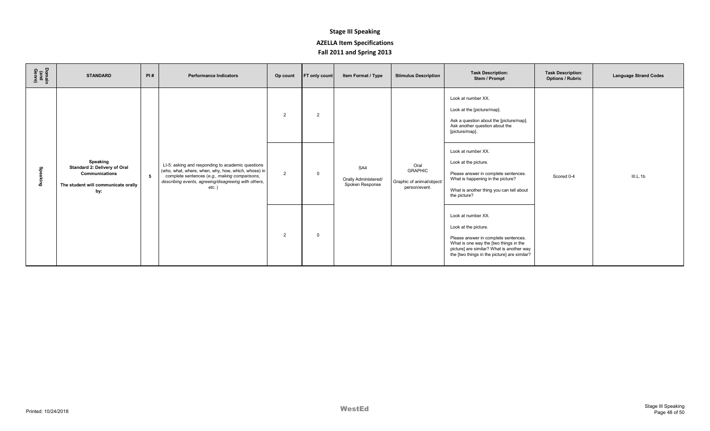| Domain<br>(and<br>Genre) | <b>STANDARD</b>                                                                                          | PI# | <b>Performance Indicators</b>                                                                                                                                                                                                 | Op count | FT only count | Item Format / Type                             | <b>Stimulus Description</b>                                          | <b>Task Description:</b><br>Stem / Prompt                                                                                                                                                                                 | <b>Task Description:</b><br><b>Options / Rubric</b> | <b>Language Strand Codes</b> |
|--------------------------|----------------------------------------------------------------------------------------------------------|-----|-------------------------------------------------------------------------------------------------------------------------------------------------------------------------------------------------------------------------------|----------|---------------|------------------------------------------------|----------------------------------------------------------------------|---------------------------------------------------------------------------------------------------------------------------------------------------------------------------------------------------------------------------|-----------------------------------------------------|------------------------------|
|                          |                                                                                                          |     |                                                                                                                                                                                                                               | 2        | 2             |                                                |                                                                      | Look at number XX.<br>Look at the [picture/map].<br>Ask a question about the [picture/map].<br>Ask another question about the<br>[picture/map].                                                                           |                                                     |                              |
| g<br>Buiye               | Speaking<br>Standard 2: Delivery of Oral<br>Communications<br>The student will communicate orally<br>by: | 5   | LI-5: asking and responding to academic questions<br>(who, what, where, when, why, how, which, whose) in<br>complete sentences (e.g., making comparisons,<br>describing events, agreeing/disagreeing with others,<br>$etc.$ ) | 2        | $\mathbf 0$   | SA4<br>Orally Administered/<br>Spoken Response | Oral<br><b>GRAPHIC</b><br>Graphic of animal/object/<br>person/event. | Look at number XX.<br>Look at the picture.<br>Please answer in complete sentences.<br>What is happening in the picture?<br>What is another thing you can tell about<br>the picture?                                       | Scored 0-4                                          | III.L.1b                     |
|                          |                                                                                                          |     |                                                                                                                                                                                                                               | 2        | $\Omega$      |                                                |                                                                      | Look at number XX.<br>Look at the picture.<br>Please answer in complete sentences.<br>What is one way the [two things in the<br>picture] are similar? What is another way<br>the [two things in the picture] are similar? |                                                     |                              |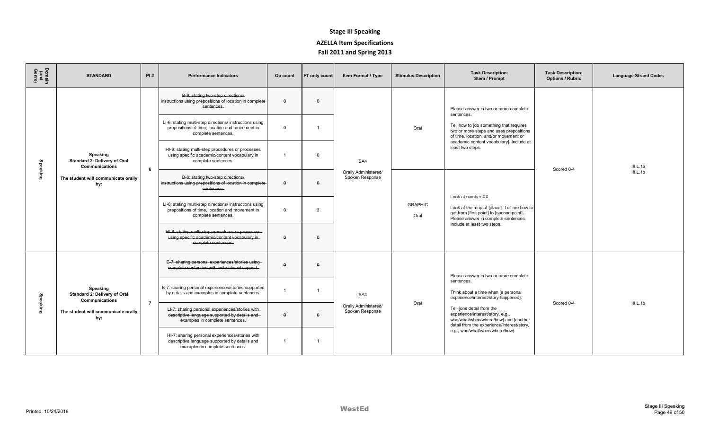| Domain<br>(and<br>Genre) | <b>STANDARD</b>                                                                                                 | PI#            | <b>Performance Indicators</b>                                                                                                        | Op count       | FT only count           | Item Format / Type                             | <b>Stimulus Description</b> | <b>Task Description:</b><br>Stem / Prompt                                                                                                                                                                                                                                                                                     | <b>Task Description:</b><br><b>Options / Rubric</b> | <b>Language Strand Codes</b> |
|--------------------------|-----------------------------------------------------------------------------------------------------------------|----------------|--------------------------------------------------------------------------------------------------------------------------------------|----------------|-------------------------|------------------------------------------------|-----------------------------|-------------------------------------------------------------------------------------------------------------------------------------------------------------------------------------------------------------------------------------------------------------------------------------------------------------------------------|-----------------------------------------------------|------------------------------|
| <b>Speaking</b>          | Speaking<br>Standard 2: Delivery of Oral<br>Communications<br>The student will communicate orally<br>by:        | 6              | B-6: stating two-step directions/<br>instructions using prepositions of location in complete<br>sentences.                           | $\theta$       | $\Omega$                | SA4<br>Orally Administered/<br>Spoken Response | Oral                        | Please answer in two or more complete<br>sentences.<br>Tell how to [do something that requires<br>two or more steps and uses prepositions<br>of time, location, and/or movement or<br>academic content vocabulary]. Include at<br>least two steps.                                                                            | Scored 0-4                                          | III.L.1a<br>III.L.1b         |
|                          |                                                                                                                 |                | LI-6: stating multi-step directions/ instructions using<br>prepositions of time, location and movement in<br>complete sentences.     | $\Omega$       | $\overline{\mathbf{1}}$ |                                                |                             |                                                                                                                                                                                                                                                                                                                               |                                                     |                              |
|                          |                                                                                                                 |                | HI-6: stating multi-step procedures or processes<br>using specific academic/content vocabulary in<br>complete sentences.             | $\overline{1}$ | $\Omega$                |                                                |                             |                                                                                                                                                                                                                                                                                                                               |                                                     |                              |
|                          |                                                                                                                 |                | B-6: stating two-step directions/<br>instructions using prepositions of location in complete-<br>sentences.                          | $\theta$       | $\theta$                |                                                | <b>GRAPHIC</b><br>Oral      | Look at number XX.<br>Look at the map of [place]. Tell me how to<br>get from [first point] to [second point].<br>Please answer in complete sentences.<br>Include at least two steps.                                                                                                                                          |                                                     |                              |
|                          |                                                                                                                 |                | LI-6: stating multi-step directions/ instructions using<br>prepositions of time, location and movement in<br>complete sentences.     | $\mathbf 0$    | 3                       |                                                |                             |                                                                                                                                                                                                                                                                                                                               |                                                     |                              |
|                          |                                                                                                                 |                | HI-6: stating multi-step procedures or processes<br>using specific academic/content vocabulary in-<br>complete sentences.            | $\theta$       | $\Omega$                |                                                |                             |                                                                                                                                                                                                                                                                                                                               |                                                     |                              |
| Speaking                 | Speaking<br>Standard 2: Delivery of Oral<br><b>Communications</b><br>The student will communicate orally<br>by: | $\overline{7}$ | E-7: sharing personal experiences/stories using-<br>complete sentences with instructional support.                                   | $\theta$       | $\Omega$                | SA4<br>Orally Administered/<br>Spoken Response | Oral                        | Please answer in two or more complete<br>sentences.<br>Think about a time when [a personal<br>experience/interest/story happened].<br>Tell [one detail from the<br>experience/interest/story, e.g.,<br>who/what/when/where/how] and [another<br>detail from the experience/interest/story,<br>e.g., who/what/when/where/how]. | Scored 0-4                                          | III.L.1b                     |
|                          |                                                                                                                 |                | B-7: sharing personal experiences/stories supported<br>by details and examples in complete sentences.                                | $\overline{1}$ | $\mathbf{1}$            |                                                |                             |                                                                                                                                                                                                                                                                                                                               |                                                     |                              |
|                          |                                                                                                                 |                | LI-7: sharing personal experiences/stories with<br>descriptive language supported by details and-<br>examples in complete sentences. | $\theta$       | $\Omega$                |                                                |                             |                                                                                                                                                                                                                                                                                                                               |                                                     |                              |
|                          |                                                                                                                 |                | HI-7: sharing personal experiences/stories with<br>descriptive language supported by details and<br>examples in complete sentences.  | $\overline{1}$ | $\overline{1}$          |                                                |                             |                                                                                                                                                                                                                                                                                                                               |                                                     |                              |